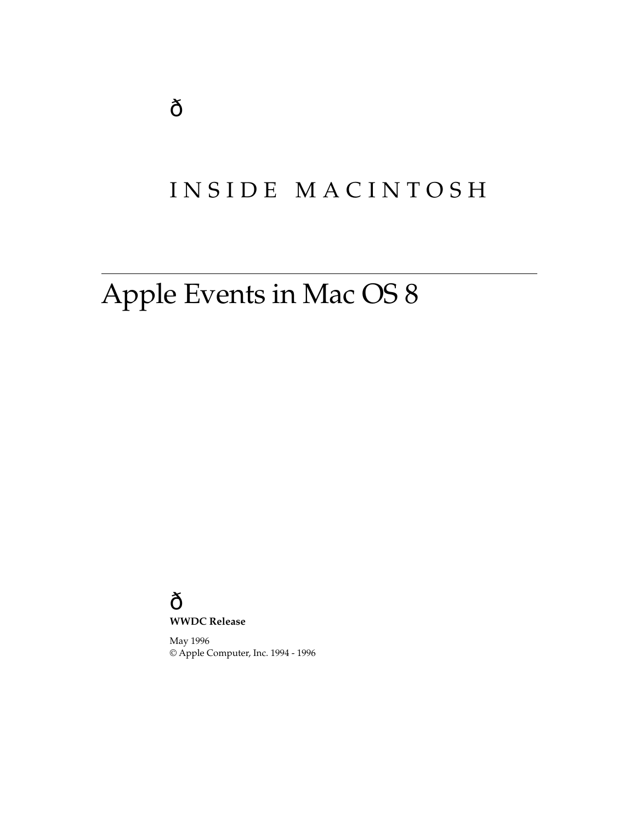# INSIDE MACINTOSH

# Apple Events in Mac OS 8

## **WWDC Release**

May 1996 © Apple Computer, Inc. 1994 - 1996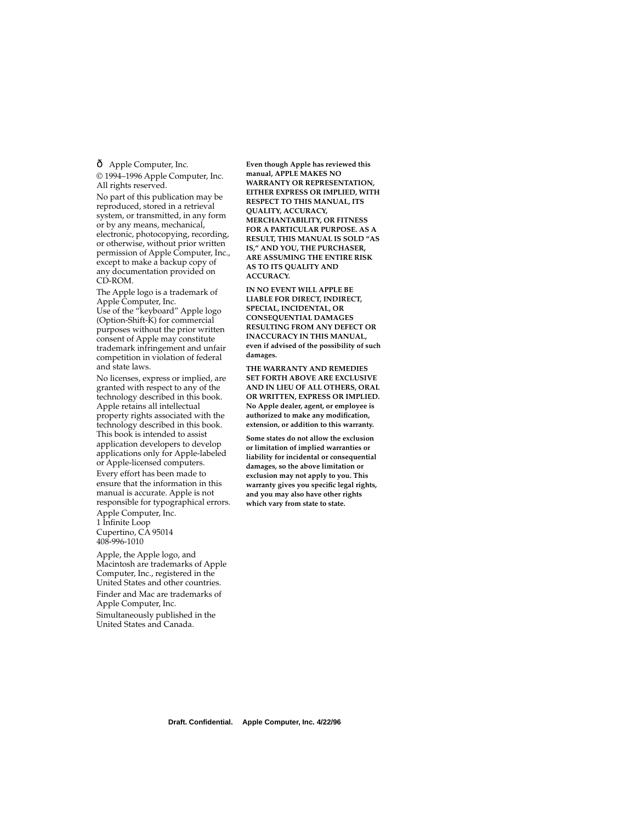Apple Computer, Inc.

© 1994–1996 Apple Computer, Inc. All rights reserved.

No part of this publication may be reproduced, stored in a retrieval system, or transmitted, in any form or by any means, mechanical, electronic, photocopying, recording, or otherwise, without prior written permission of Apple Computer, Inc., except to make a backup copy of any documentation provided on CD-ROM.

The Apple logo is a trademark of Apple Computer, Inc. Use of the "keyboard" Apple logo (Option-Shift-K) for commercial purposes without the prior written consent of Apple may constitute trademark infringement and unfair competition in violation of federal and state laws.

No licenses, express or implied, are granted with respect to any of the technology described in this book. Apple retains all intellectual property rights associated with the technology described in this book. This book is intended to assist application developers to develop applications only for Apple-labeled or Apple-licensed computers.

Every effort has been made to ensure that the information in this manual is accurate. Apple is not responsible for typographical errors. Apple Computer, Inc. 1 Infinite Loop

Cupertino, CA 95014 408-996-1010

Apple, the Apple logo, and Macintosh are trademarks of Apple Computer, Inc., registered in the United States and other countries. Finder and Mac are trademarks of Apple Computer, Inc. Simultaneously published in the United States and Canada.

**Even though Apple has reviewed this manual, APPLE MAKES NO WARRANTY OR REPRESENTATION, EITHER EXPRESS OR IMPLIED, WITH RESPECT TO THIS MANUAL, ITS QUALITY, ACCURACY, MERCHANTABILITY, OR FITNESS FOR A PARTICULAR PURPOSE. AS A RESULT, THIS MANUAL IS SOLD "AS IS," AND YOU, THE PURCHASER, ARE ASSUMING THE ENTIRE RISK AS TO ITS QUALITY AND ACCURACY.**

**IN NO EVENT WILL APPLE BE LIABLE FOR DIRECT, INDIRECT, SPECIAL, INCIDENTAL, OR CONSEQUENTIAL DAMAGES RESULTING FROM ANY DEFECT OR INACCURACY IN THIS MANUAL, even if advised of the possibility of such damages.**

**THE WARRANTY AND REMEDIES SET FORTH ABOVE ARE EXCLUSIVE AND IN LIEU OF ALL OTHERS, ORAL OR WRITTEN, EXPRESS OR IMPLIED. No Apple dealer, agent, or employee is authorized to make any modification, extension, or addition to this warranty.**

**Some states do not allow the exclusion or limitation of implied warranties or liability for incidental or consequential damages, so the above limitation or exclusion may not apply to you. This warranty gives you specific legal rights, and you may also have other rights which vary from state to state.**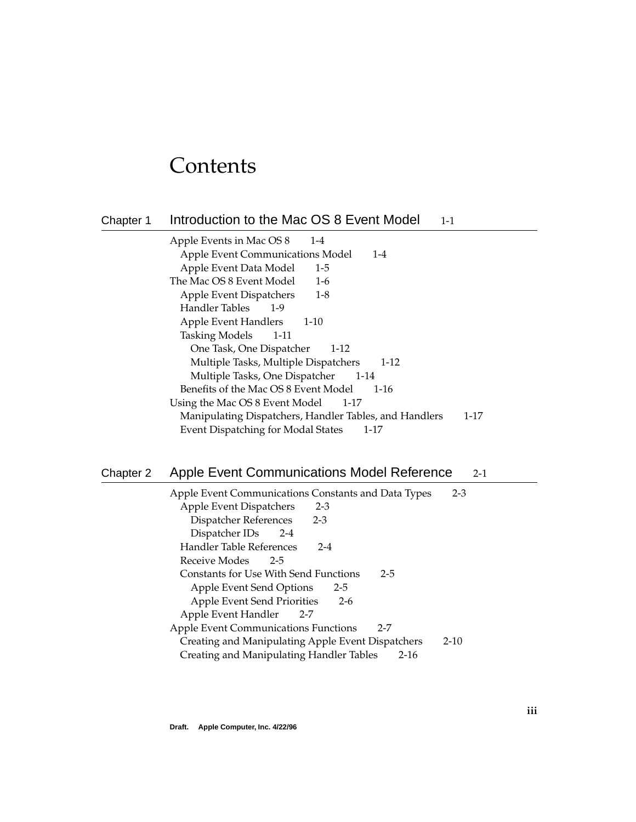# **Contents**

# [Chapter 1](#page-4-0) Introduction to the Mac OS 8 Event Model 1-1 [Apple Events in Mac OS 8 1-4](#page-7-0) [Apple Event Communications Model 1-4](#page-7-0) [Apple Event Data Model 1-5](#page-8-0) [The Mac OS 8 Event Model 1-6](#page-9-0) [Apple Event Dispatchers 1-8](#page-11-0) [Handler Tables 1-9](#page-12-0) [Apple Event Handlers 1-10](#page-13-0) [Tasking Models 1-11](#page-14-0) [One Task, One Dispatcher 1-12](#page-15-0) [Multiple Tasks, Multiple Dispatchers 1-12](#page-15-0) [Multiple Tasks, One Dispatcher 1-14](#page-17-0) [Benefits of the Mac OS 8 Event Model 1-16](#page-19-0) [Using the Mac OS 8 Event Model 1-17](#page-20-0) [Manipulating Dispatchers, Handler Tables, and Handlers 1-17](#page-20-0) [Event Dispatching for Modal States 1-17](#page-20-0)

# [Chapter 2](#page-22-0) Apple Event Communications Model Reference 2-1

| Apple Event Communications Constants and Data Types    | $2 - 3$  |
|--------------------------------------------------------|----------|
| Apple Event Dispatchers<br>$2 - 3$                     |          |
| Dispatcher References<br>$2 - 3$                       |          |
| Dispatcher IDs<br>$2 - 4$                              |          |
| Handler Table References<br>$2 - 4$                    |          |
| Receive Modes<br>$2 - 5$                               |          |
| Constants for Use With Send Functions<br>$2 - 5$       |          |
| Apple Event Send Options<br>$2 - 5$                    |          |
| Apple Event Send Priorities<br>$2-6$                   |          |
| Apple Event Handler<br>$2 - 7$                         |          |
| <b>Apple Event Communications Functions</b><br>$2 - 7$ |          |
| Creating and Manipulating Apple Event Dispatchers      | $2 - 10$ |
| Creating and Manipulating Handler Tables<br>$2 - 16$   |          |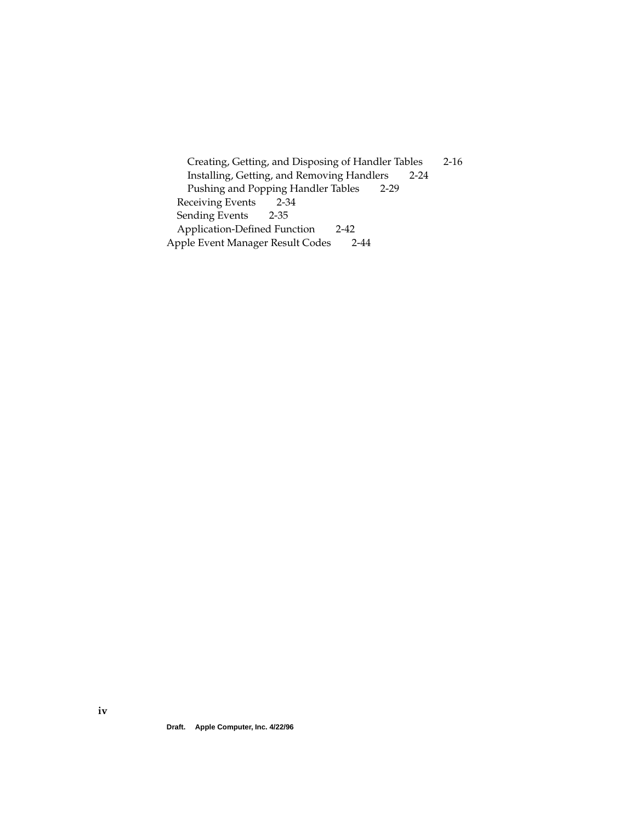[Creating, Getting, and Disposing of Handler Tables 2-16](#page-37-0) [Installing, Getting, and Removing Handlers 2-24](#page-45-0) [Pushing and Popping Handler Tables 2-29](#page-50-0) [Receiving Events 2-34](#page-55-0) [Sending Events 2-35](#page-56-0) [Application-Defined Function 2-42](#page-63-0) [Apple Event Manager Result Codes 2-44](#page-65-0)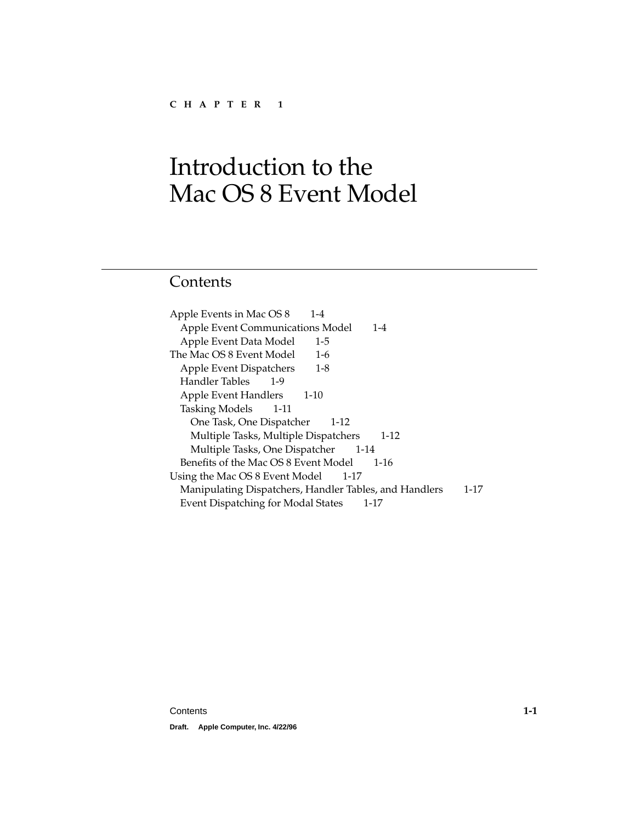# <span id="page-4-0"></span>Contents

[Apple Events in Mac OS 8 1-4](#page-7-0) [Apple Event Communications Model 1-4](#page-7-0) [Apple Event Data Model 1-5](#page-8-0) [The Mac OS 8 Event Model 1-6](#page-9-0) [Apple Event Dispatchers 1-8](#page-11-0) [Handler Tables 1-9](#page-12-0) [Apple Event Handlers 1-10](#page-13-0) [Tasking Models 1-11](#page-14-0) [One Task, One Dispatcher 1-12](#page-15-0) [Multiple Tasks, Multiple Dispatchers 1-12](#page-15-0) [Multiple Tasks, One Dispatcher 1-14](#page-17-0) [Benefits of the Mac OS 8 Event Model 1-16](#page-19-0) [Using the Mac OS 8 Event Model 1-17](#page-20-0) [Manipulating Dispatchers, Handler Tables, and Handlers 1-17](#page-20-0) [Event Dispatching for Modal States 1-17](#page-20-0)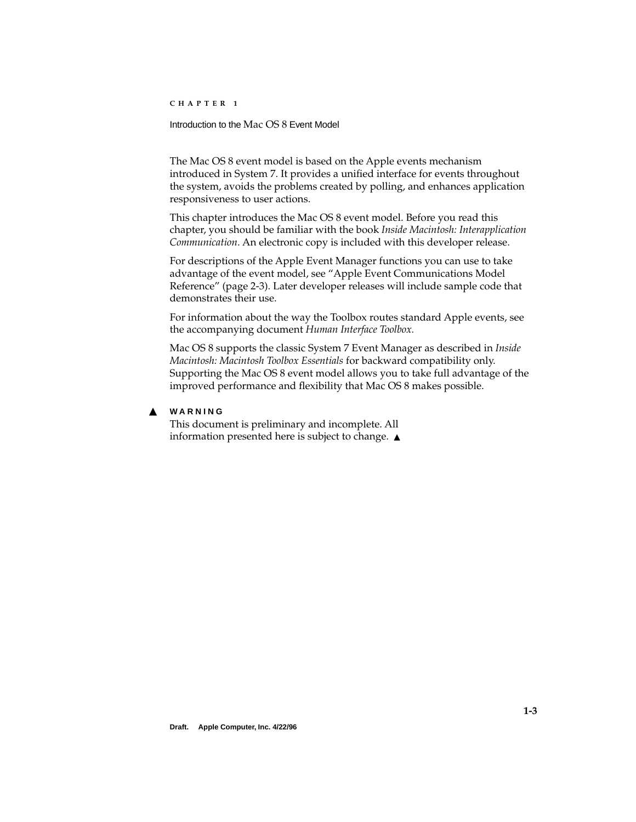<span id="page-6-0"></span>Introduction to the Mac OS 8 Event Model

The Mac OS 8 event model is based on the Apple events mechanism introduced in System 7. It provides a unified interface for events throughout the system, avoids the problems created by polling, and enhances application responsiveness to user actions.

This chapter introduces the Mac OS 8 event model. Before you read this chapter, you should be familiar with the book *Inside Macintosh: Interapplication Communication*. An electronic copy is included with this developer release.

For descriptions of the Apple Event Manager functions you can use to take advantage of the event model, see ["Apple Event Communications Model](#page-24-0)  [Reference" \(page 2-3\)](#page-24-0). Later developer releases will include sample code that demonstrates their use.

For information about the way the Toolbox routes standard Apple events, see the accompanying document *Human Interface Toolbox.*

Mac OS 8 supports the classic System 7 Event Manager as described in *Inside Macintosh: Macintosh Toolbox Essentials* for backward compatibility only. Supporting the Mac OS 8 event model allows you to take full advantage of the improved performance and flexibility that Mac OS 8 makes possible.

## ▲ **WARNING**

This document is preliminary and incomplete. All information presented here is subject to change. ▲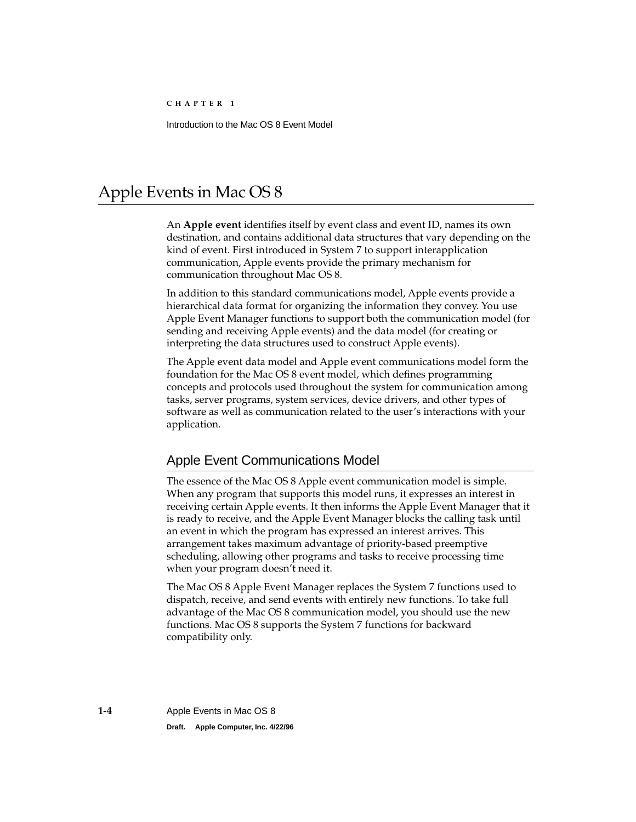# <span id="page-7-0"></span>Apple Events in Mac OS 8 1

An **Apple event** identifies itself by event class and event ID, names its own destination, and contains additional data structures that vary depending on the kind of event. First introduced in System 7 to support interapplication communication, Apple events provide the primary mechanism for communication throughout Mac OS 8.

In addition to this standard communications model, Apple events provide a hierarchical data format for organizing the information they convey. You use Apple Event Manager functions to support both the communication model (for sending and receiving Apple events) and the data model (for creating or interpreting the data structures used to construct Apple events).

The Apple event data model and Apple event communications model form the foundation for the Mac OS 8 event model, which defines programming concepts and protocols used throughout the system for communication among tasks, server programs, system services, device drivers, and other types of software as well as communication related to the user's interactions with your application.

## Apple Event Communications Model

The essence of the Mac OS 8 Apple event communication model is simple. When any program that supports this model runs, it expresses an interest in receiving certain Apple events. It then informs the Apple Event Manager that it is ready to receive, and the Apple Event Manager blocks the calling task until an event in which the program has expressed an interest arrives. This arrangement takes maximum advantage of priority-based preemptive scheduling, allowing other programs and tasks to receive processing time when your program doesn't need it.

The Mac OS 8 Apple Event Manager replaces the System 7 functions used to dispatch, receive, and send events with entirely new functions. To take full advantage of the Mac OS 8 communication model, you should use the new functions. Mac OS 8 supports the System 7 functions for backward compatibility only.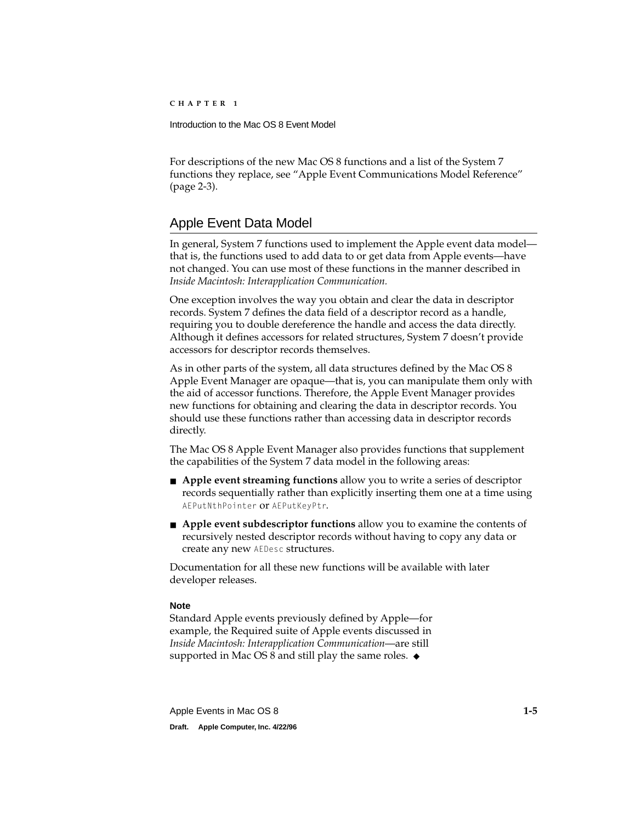<span id="page-8-0"></span>For descriptions of the new Mac OS 8 functions and a list of the System 7 functions they replace, see ["Apple Event Communications Model Reference"](#page-24-0)  [\(page 2-3\)](#page-24-0).

# Apple Event Data Model 1

In general, System 7 functions used to implement the Apple event data model that is, the functions used to add data to or get data from Apple events—have not changed. You can use most of these functions in the manner described in *Inside Macintosh: Interapplication Communication.*

One exception involves the way you obtain and clear the data in descriptor records. System 7 defines the data field of a descriptor record as a handle, requiring you to double dereference the handle and access the data directly. Although it defines accessors for related structures, System 7 doesn't provide accessors for descriptor records themselves.

As in other parts of the system, all data structures defined by the Mac OS 8 Apple Event Manager are opaque—that is, you can manipulate them only with the aid of accessor functions. Therefore, the Apple Event Manager provides new functions for obtaining and clearing the data in descriptor records. You should use these functions rather than accessing data in descriptor records directly.

The Mac OS 8 Apple Event Manager also provides functions that supplement the capabilities of the System 7 data model in the following areas:

- **Apple event streaming functions** allow you to write a series of descriptor records sequentially rather than explicitly inserting them one at a time using AEPutNthPointer or AEPutKeyPtr.
- **Apple event subdescriptor functions** allow you to examine the contents of recursively nested descriptor records without having to copy any data or create any new AEDesc structures.

Documentation for all these new functions will be available with later developer releases.

## **Note**

Standard Apple events previously defined by Apple—for example, the Required suite of Apple events discussed in *Inside Macintosh: Interapplication Communication*—are still supported in Mac OS 8 and still play the same roles.  $\bullet$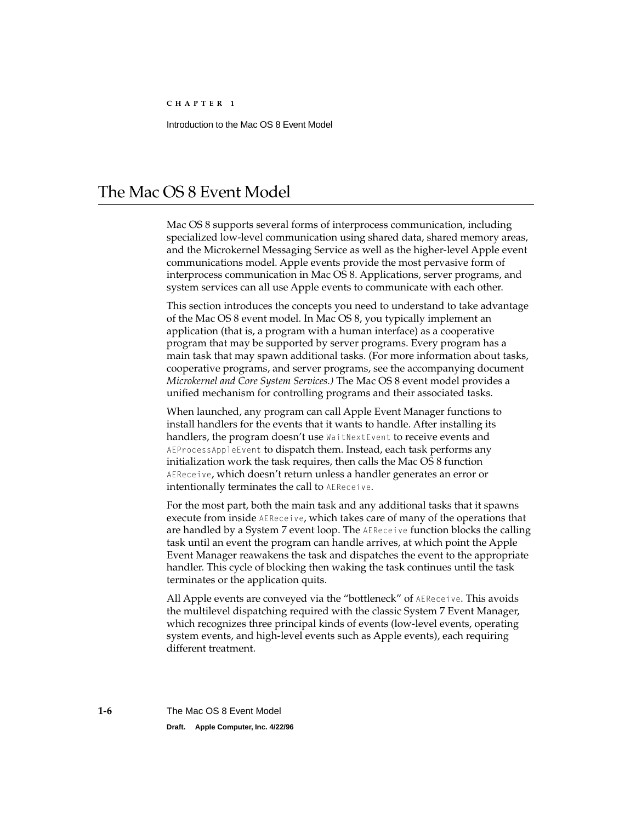# <span id="page-9-0"></span>The Mac OS 8 Event Model

Mac OS 8 supports several forms of interprocess communication, including specialized low-level communication using shared data, shared memory areas, and the Microkernel Messaging Service as well as the higher-level Apple event communications model. Apple events provide the most pervasive form of interprocess communication in Mac OS 8. Applications, server programs, and system services can all use Apple events to communicate with each other.

This section introduces the concepts you need to understand to take advantage of the Mac OS 8 event model. In Mac OS 8, you typically implement an application (that is, a program with a human interface) as a cooperative program that may be supported by server programs. Every program has a main task that may spawn additional tasks. (For more information about tasks, cooperative programs, and server programs, see the accompanying document *Microkernel and Core System Services.)* The Mac OS 8 event model provides a unified mechanism for controlling programs and their associated tasks.

When launched, any program can call Apple Event Manager functions to install handlers for the events that it wants to handle. After installing its handlers, the program doesn't use WaitNextEvent to receive events and AEProcessAppleEvent to dispatch them. Instead, each task performs any initialization work the task requires, then calls the Mac OS 8 function AEReceive, which doesn't return unless a handler generates an error or intentionally terminates the call to AEReceive.

For the most part, both the main task and any additional tasks that it spawns execute from inside AEReceive, which takes care of many of the operations that are handled by a System 7 event loop. The AEReceive function blocks the calling task until an event the program can handle arrives, at which point the Apple Event Manager reawakens the task and dispatches the event to the appropriate handler. This cycle of blocking then waking the task continues until the task terminates or the application quits.

All Apple events are conveyed via the "bottleneck" of AEReceive. This avoids the multilevel dispatching required with the classic System 7 Event Manager, which recognizes three principal kinds of events (low-level events, operating system events, and high-level events such as Apple events), each requiring different treatment.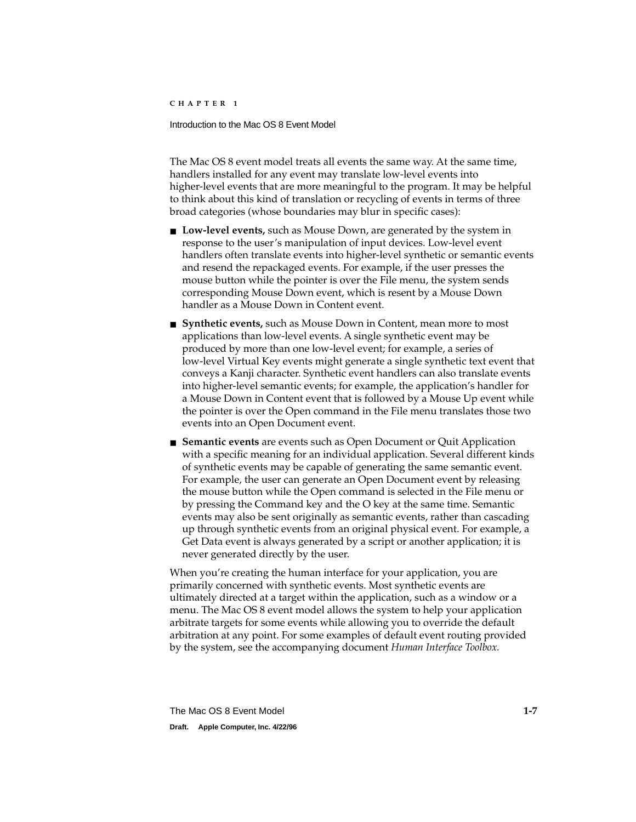Introduction to the Mac OS 8 Event Model

The Mac OS 8 event model treats all events the same way. At the same time, handlers installed for any event may translate low-level events into higher-level events that are more meaningful to the program. It may be helpful to think about this kind of translation or recycling of events in terms of three broad categories (whose boundaries may blur in specific cases):

- **Low-level events,** such as Mouse Down, are generated by the system in response to the user's manipulation of input devices. Low-level event handlers often translate events into higher-level synthetic or semantic events and resend the repackaged events. For example, if the user presses the mouse button while the pointer is over the File menu, the system sends corresponding Mouse Down event, which is resent by a Mouse Down handler as a Mouse Down in Content event.
- **Synthetic events,** such as Mouse Down in Content, mean more to most applications than low-level events. A single synthetic event may be produced by more than one low-level event; for example, a series of low-level Virtual Key events might generate a single synthetic text event that conveys a Kanji character. Synthetic event handlers can also translate events into higher-level semantic events; for example, the application's handler for a Mouse Down in Content event that is followed by a Mouse Up event while the pointer is over the Open command in the File menu translates those two events into an Open Document event.
- **Semantic events** are events such as Open Document or Quit Application with a specific meaning for an individual application. Several different kinds of synthetic events may be capable of generating the same semantic event. For example, the user can generate an Open Document event by releasing the mouse button while the Open command is selected in the File menu or by pressing the Command key and the O key at the same time. Semantic events may also be sent originally as semantic events, rather than cascading up through synthetic events from an original physical event. For example, a Get Data event is always generated by a script or another application; it is never generated directly by the user.

When you're creating the human interface for your application, you are primarily concerned with synthetic events. Most synthetic events are ultimately directed at a target within the application, such as a window or a menu. The Mac OS 8 event model allows the system to help your application arbitrate targets for some events while allowing you to override the default arbitration at any point. For some examples of default event routing provided by the system, see the accompanying document *Human Interface Toolbox.*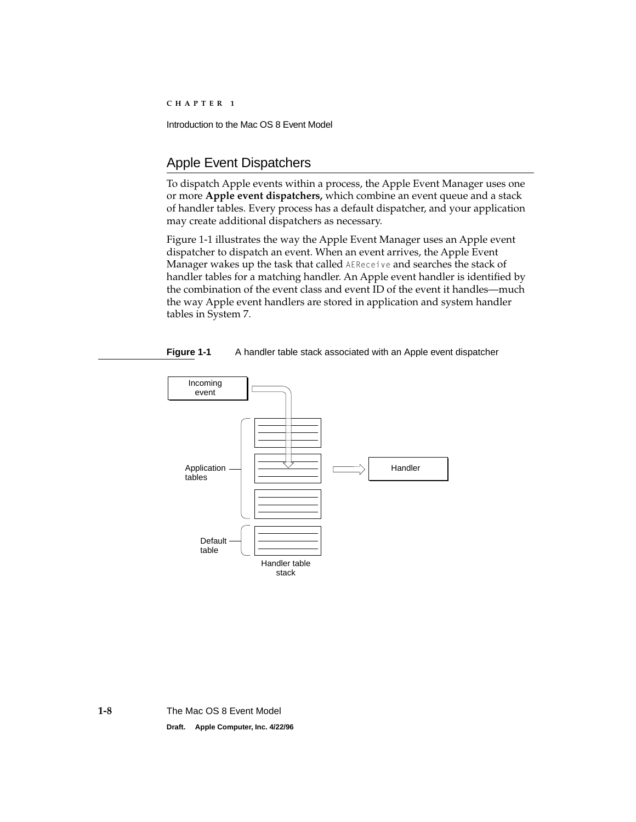# <span id="page-11-0"></span>Apple Event Dispatchers

To dispatch Apple events within a process, the Apple Event Manager uses one or more **Apple event dispatchers,** which combine an event queue and a stack of handler tables. Every process has a default dispatcher, and your application may create additional dispatchers as necessary.

Figure 1-1 illustrates the way the Apple Event Manager uses an Apple event dispatcher to dispatch an event. When an event arrives, the Apple Event Manager wakes up the task that called AEReceive and searches the stack of handler tables for a matching handler. An Apple event handler is identified by the combination of the event class and event ID of the event it handles—much the way Apple event handlers are stored in application and system handler tables in System 7.



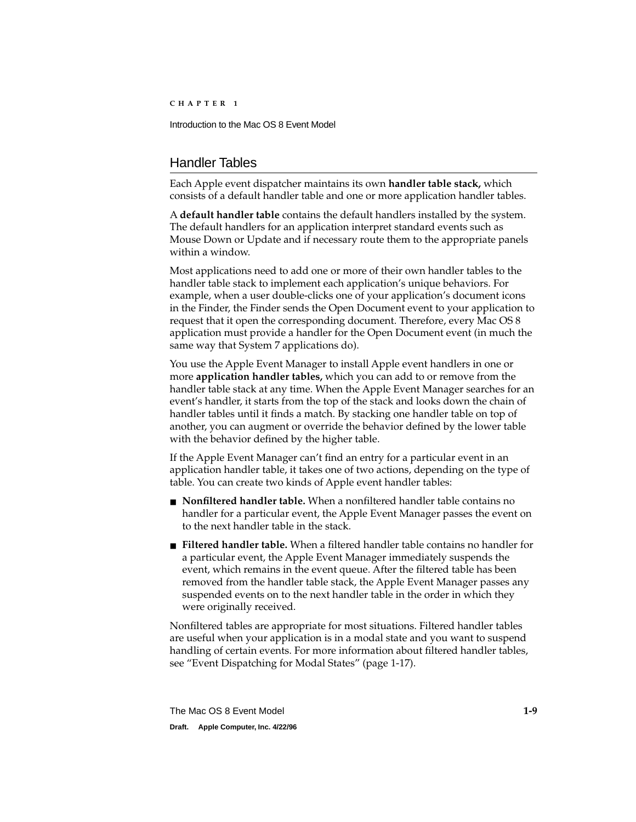# <span id="page-12-0"></span>Handler Tables 1

Each Apple event dispatcher maintains its own **handler table stack,** which consists of a default handler table and one or more application handler tables.

A **default handler table** contains the default handlers installed by the system. The default handlers for an application interpret standard events such as Mouse Down or Update and if necessary route them to the appropriate panels within a window.

Most applications need to add one or more of their own handler tables to the handler table stack to implement each application's unique behaviors. For example, when a user double-clicks one of your application's document icons in the Finder, the Finder sends the Open Document event to your application to request that it open the corresponding document. Therefore, every Mac OS 8 application must provide a handler for the Open Document event (in much the same way that System 7 applications do).

You use the Apple Event Manager to install Apple event handlers in one or more **application handler tables,** which you can add to or remove from the handler table stack at any time. When the Apple Event Manager searches for an event's handler, it starts from the top of the stack and looks down the chain of handler tables until it finds a match. By stacking one handler table on top of another, you can augment or override the behavior defined by the lower table with the behavior defined by the higher table.

If the Apple Event Manager can't find an entry for a particular event in an application handler table, it takes one of two actions, depending on the type of table. You can create two kinds of Apple event handler tables:

- **Nonfiltered handler table.** When a nonfiltered handler table contains no handler for a particular event, the Apple Event Manager passes the event on to the next handler table in the stack.
- **Filtered handler table.** When a filtered handler table contains no handler for a particular event, the Apple Event Manager immediately suspends the event, which remains in the event queue. After the filtered table has been removed from the handler table stack, the Apple Event Manager passes any suspended events on to the next handler table in the order in which they were originally received.

Nonfiltered tables are appropriate for most situations. Filtered handler tables are useful when your application is in a modal state and you want to suspend handling of certain events. For more information about filtered handler tables, see ["Event Dispatching for Modal States" \(page 1-17\)](#page-20-0).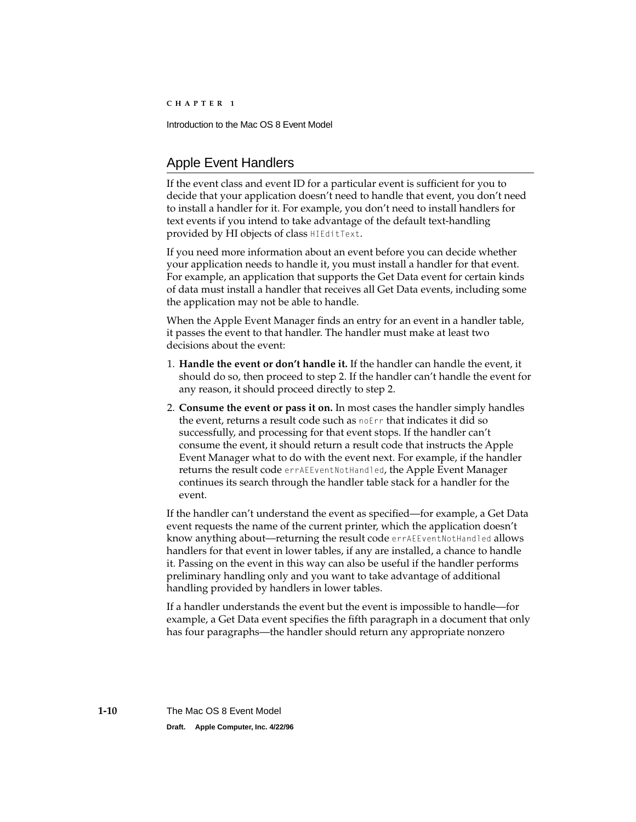# <span id="page-13-0"></span>Apple Event Handlers 1

If the event class and event ID for a particular event is sufficient for you to decide that your application doesn't need to handle that event, you don't need to install a handler for it. For example, you don't need to install handlers for text events if you intend to take advantage of the default text-handling provided by HI objects of class HIEditText.

If you need more information about an event before you can decide whether your application needs to handle it, you must install a handler for that event. For example, an application that supports the Get Data event for certain kinds of data must install a handler that receives all Get Data events, including some the application may not be able to handle.

When the Apple Event Manager finds an entry for an event in a handler table, it passes the event to that handler. The handler must make at least two decisions about the event:

- 1. **Handle the event or don't handle it.** If the handler can handle the event, it should do so, then proceed to step 2. If the handler can't handle the event for any reason, it should proceed directly to step 2.
- 2. **Consume the event or pass it on.** In most cases the handler simply handles the event, returns a result code such as noErr that indicates it did so successfully, and processing for that event stops. If the handler can't consume the event, it should return a result code that instructs the Apple Event Manager what to do with the event next. For example, if the handler returns the result code errAEEventNotHandled, the Apple Event Manager continues its search through the handler table stack for a handler for the event.

If the handler can't understand the event as specified—for example, a Get Data event requests the name of the current printer, which the application doesn't know anything about—returning the result code errAEEventNotHandled allows handlers for that event in lower tables, if any are installed, a chance to handle it. Passing on the event in this way can also be useful if the handler performs preliminary handling only and you want to take advantage of additional handling provided by handlers in lower tables.

If a handler understands the event but the event is impossible to handle—for example, a Get Data event specifies the fifth paragraph in a document that only has four paragraphs—the handler should return any appropriate nonzero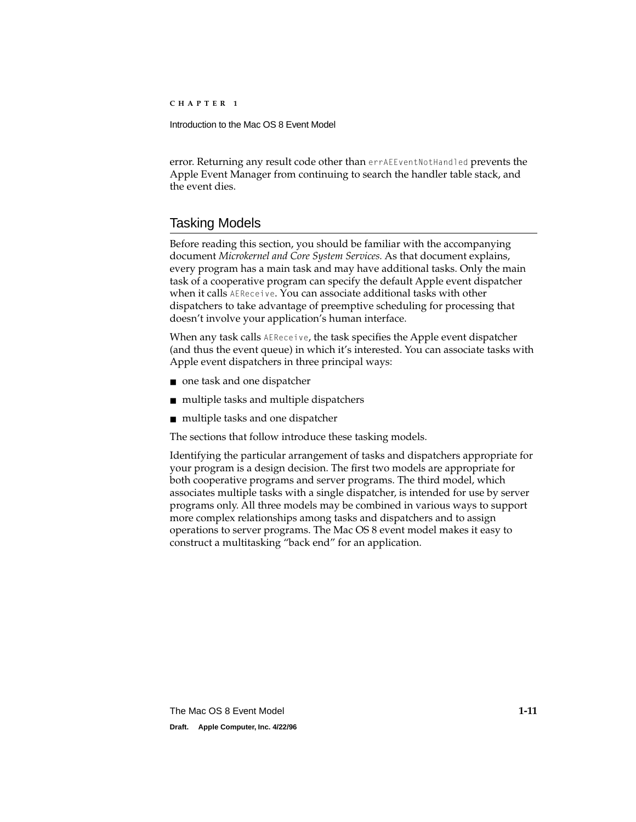<span id="page-14-0"></span>error. Returning any result code other than errAEEventNotHandled prevents the Apple Event Manager from continuing to search the handler table stack, and the event dies.

# Tasking Models 1

Before reading this section, you should be familiar with the accompanying document *Microkernel and Core System Services.* As that document explains, every program has a main task and may have additional tasks. Only the main task of a cooperative program can specify the default Apple event dispatcher when it calls AEReceive. You can associate additional tasks with other dispatchers to take advantage of preemptive scheduling for processing that doesn't involve your application's human interface.

When any task calls AEReceive, the task specifies the Apple event dispatcher (and thus the event queue) in which it's interested. You can associate tasks with Apple event dispatchers in three principal ways:

- one task and one dispatcher
- multiple tasks and multiple dispatchers
- multiple tasks and one dispatcher

The sections that follow introduce these tasking models.

Identifying the particular arrangement of tasks and dispatchers appropriate for your program is a design decision. The first two models are appropriate for both cooperative programs and server programs. The third model, which associates multiple tasks with a single dispatcher, is intended for use by server programs only. All three models may be combined in various ways to support more complex relationships among tasks and dispatchers and to assign operations to server programs. The Mac OS 8 event model makes it easy to construct a multitasking "back end" for an application.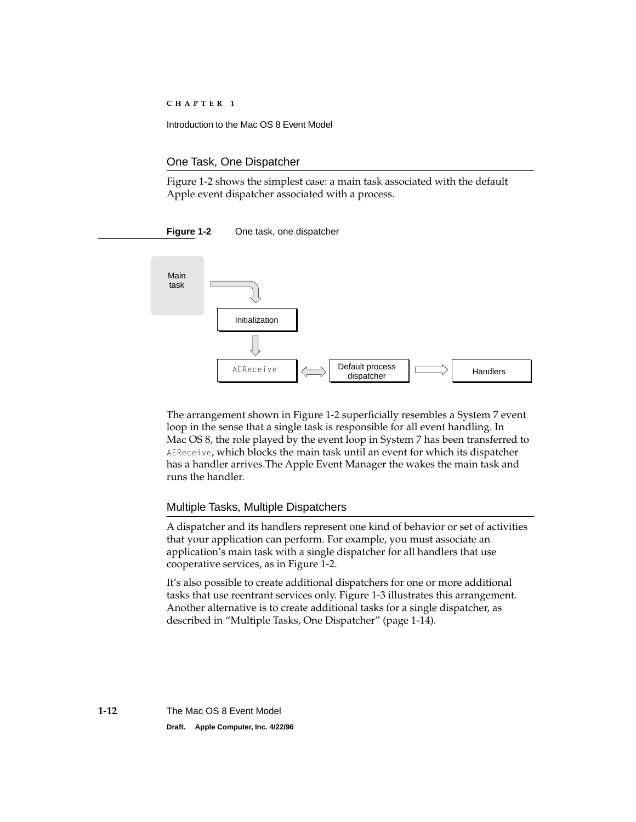## <span id="page-15-0"></span>One Task, One Dispatcher 1

Figure 1-2 shows the simplest case: a main task associated with the default Apple event dispatcher associated with a process.

## **Figure 1-2** One task, one dispatcher



The arrangement shown in Figure 1-2 superficially resembles a System 7 event loop in the sense that a single task is responsible for all event handling. In Mac OS 8, the role played by the event loop in System 7 has been transferred to AEReceive, which blocks the main task until an event for which its dispatcher has a handler arrives.The Apple Event Manager the wakes the main task and runs the handler.

## Multiple Tasks, Multiple Dispatchers 1

A dispatcher and its handlers represent one kind of behavior or set of activities that your application can perform. For example, you must associate an application's main task with a single dispatcher for all handlers that use cooperative services, as in Figure 1-2.

It's also possible to create additional dispatchers for one or more additional tasks that use reentrant services only. [Figure 1-3](#page-16-0) illustrates this arrangement. Another alternative is to create additional tasks for a single dispatcher, as described in ["Multiple Tasks, One Dispatcher" \(page 1-14\).](#page-17-0)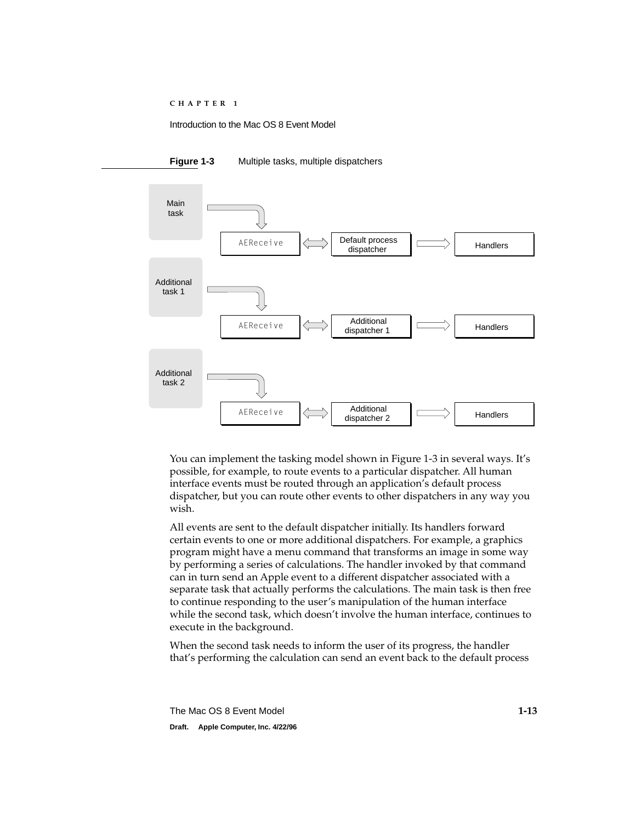

<span id="page-16-0"></span>

You can implement the tasking model shown in Figure 1-3 in several ways. It's possible, for example, to route events to a particular dispatcher. All human interface events must be routed through an application's default process dispatcher, but you can route other events to other dispatchers in any way you wish.

All events are sent to the default dispatcher initially. Its handlers forward certain events to one or more additional dispatchers. For example, a graphics program might have a menu command that transforms an image in some way by performing a series of calculations. The handler invoked by that command can in turn send an Apple event to a different dispatcher associated with a separate task that actually performs the calculations. The main task is then free to continue responding to the user's manipulation of the human interface while the second task, which doesn't involve the human interface, continues to execute in the background.

When the second task needs to inform the user of its progress, the handler that's performing the calculation can send an event back to the default process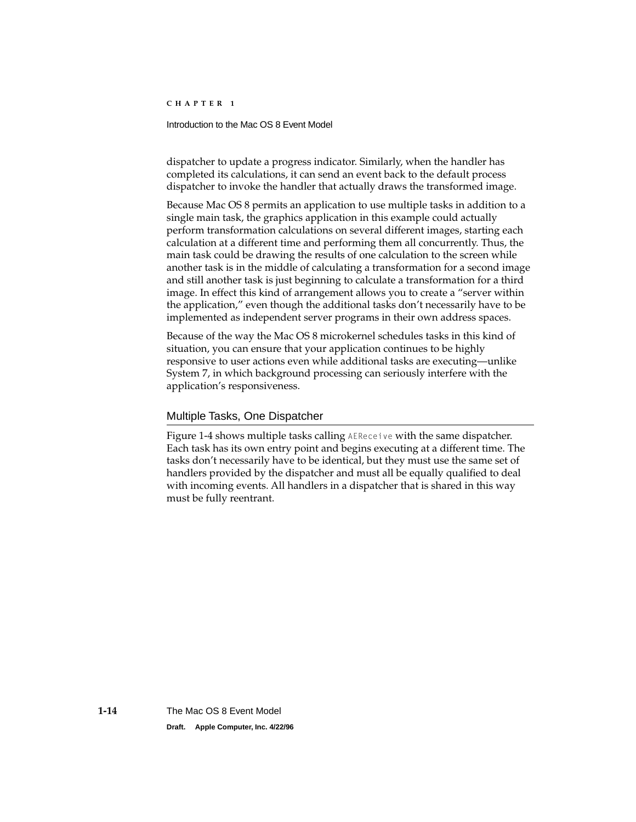#### <span id="page-17-0"></span>Introduction to the Mac OS 8 Event Model

dispatcher to update a progress indicator. Similarly, when the handler has completed its calculations, it can send an event back to the default process dispatcher to invoke the handler that actually draws the transformed image.

Because Mac OS 8 permits an application to use multiple tasks in addition to a single main task, the graphics application in this example could actually perform transformation calculations on several different images, starting each calculation at a different time and performing them all concurrently. Thus, the main task could be drawing the results of one calculation to the screen while another task is in the middle of calculating a transformation for a second image and still another task is just beginning to calculate a transformation for a third image. In effect this kind of arrangement allows you to create a "server within the application," even though the additional tasks don't necessarily have to be implemented as independent server programs in their own address spaces.

Because of the way the Mac OS 8 microkernel schedules tasks in this kind of situation, you can ensure that your application continues to be highly responsive to user actions even while additional tasks are executing—unlike System 7, in which background processing can seriously interfere with the application's responsiveness.

## Multiple Tasks, One Dispatcher 1

[Figure 1-4](#page-18-0) shows multiple tasks calling AEReceive with the same dispatcher. Each task has its own entry point and begins executing at a different time. The tasks don't necessarily have to be identical, but they must use the same set of handlers provided by the dispatcher and must all be equally qualified to deal with incoming events. All handlers in a dispatcher that is shared in this way must be fully reentrant.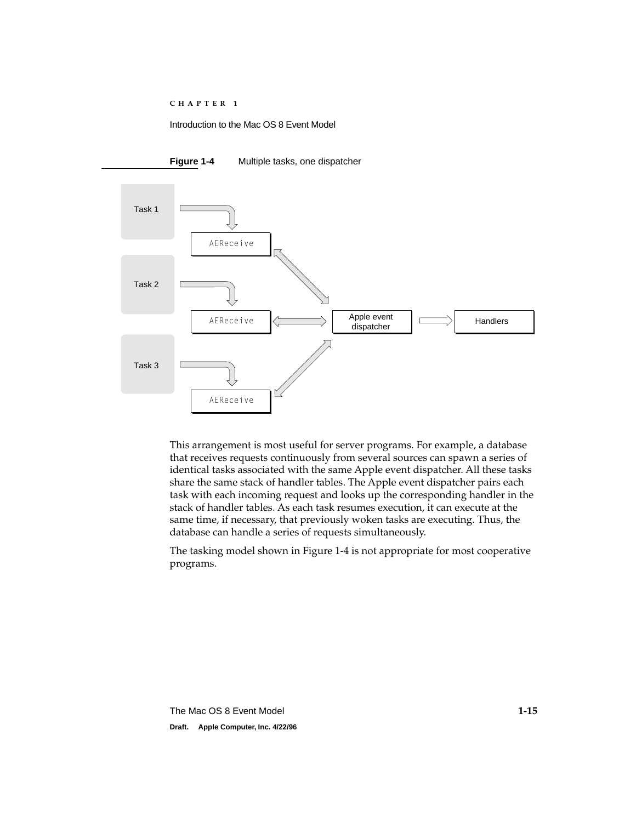<span id="page-18-0"></span>



This arrangement is most useful for server programs. For example, a database that receives requests continuously from several sources can spawn a series of identical tasks associated with the same Apple event dispatcher. All these tasks share the same stack of handler tables. The Apple event dispatcher pairs each task with each incoming request and looks up the corresponding handler in the stack of handler tables. As each task resumes execution, it can execute at the same time, if necessary, that previously woken tasks are executing. Thus, the database can handle a series of requests simultaneously.

The tasking model shown in Figure 1-4 is not appropriate for most cooperative programs.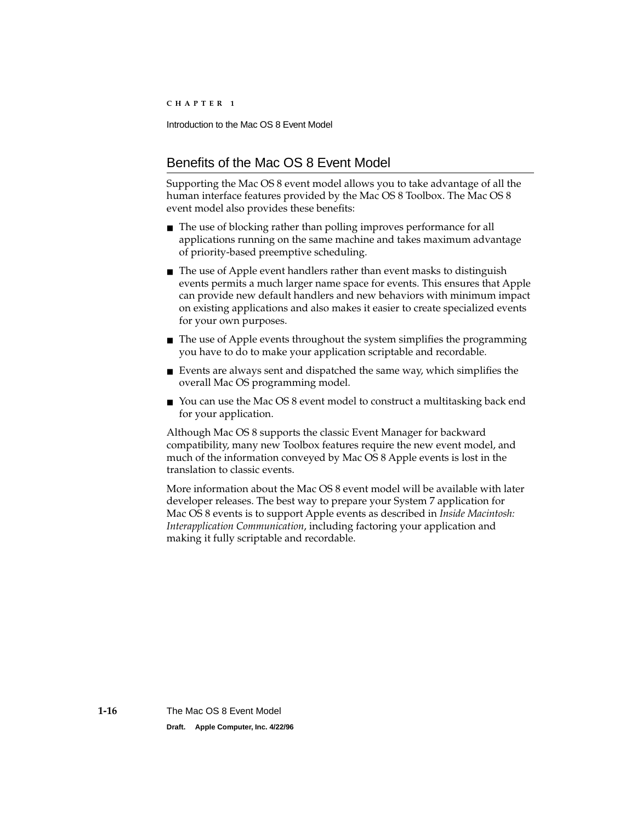# <span id="page-19-0"></span>Benefits of the Mac OS 8 Event Model 1

Supporting the Mac OS 8 event model allows you to take advantage of all the human interface features provided by the Mac OS 8 Toolbox. The Mac OS 8 event model also provides these benefits:

- The use of blocking rather than polling improves performance for all applications running on the same machine and takes maximum advantage of priority-based preemptive scheduling.
- The use of Apple event handlers rather than event masks to distinguish events permits a much larger name space for events. This ensures that Apple can provide new default handlers and new behaviors with minimum impact on existing applications and also makes it easier to create specialized events for your own purposes.
- The use of Apple events throughout the system simplifies the programming you have to do to make your application scriptable and recordable.
- Events are always sent and dispatched the same way, which simplifies the overall Mac OS programming model.
- You can use the Mac OS 8 event model to construct a multitasking back end for your application.

Although Mac OS 8 supports the classic Event Manager for backward compatibility, many new Toolbox features require the new event model, and much of the information conveyed by Mac OS 8 Apple events is lost in the translation to classic events.

More information about the Mac OS 8 event model will be available with later developer releases. The best way to prepare your System 7 application for Mac OS 8 events is to support Apple events as described in *Inside Macintosh: Interapplication Communication*, including factoring your application and making it fully scriptable and recordable.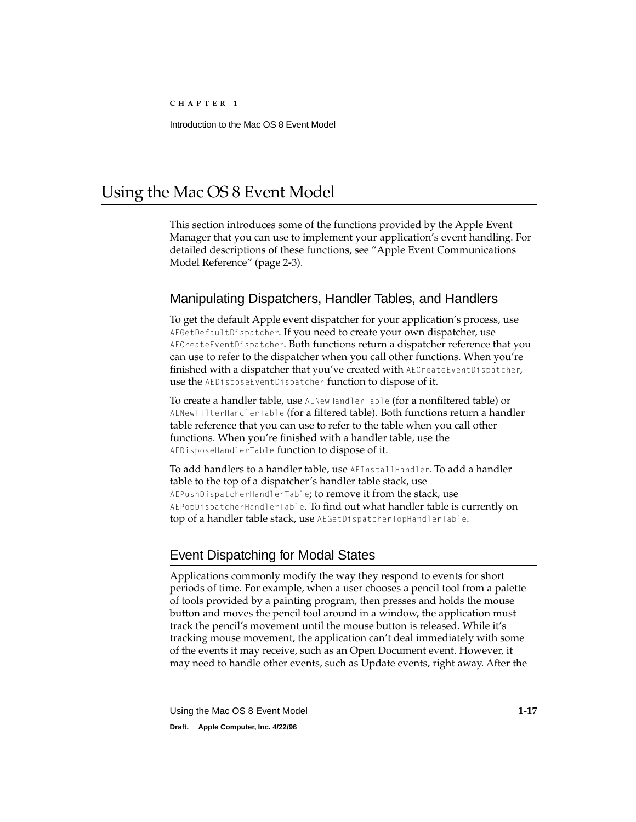# <span id="page-20-0"></span>Using the Mac OS 8 Event Model

This section introduces some of the functions provided by the Apple Event Manager that you can use to implement your application's event handling. For detailed descriptions of these functions, see ["Apple Event Communications](#page-24-0)  [Model Reference" \(page 2-3\)](#page-24-0).

# Manipulating Dispatchers, Handler Tables, and Handlers 1

To get the default Apple event dispatcher for your application's process, use AEGetDefaultDispatcher. If you need to create your own dispatcher, use AECreateEventDispatcher. Both functions return a dispatcher reference that you can use to refer to the dispatcher when you call other functions. When you're finished with a dispatcher that you've created with AECreateEventDispatcher, use the AEDisposeEventDispatcher function to dispose of it.

To create a handler table, use AENewHandlerTable (for a nonfiltered table) or AENewFilterHandlerTable (for a filtered table). Both functions return a handler table reference that you can use to refer to the table when you call other functions. When you're finished with a handler table, use the AEDisposeHandlerTable function to dispose of it.

To add handlers to a handler table, use AEInstallHandler. To add a handler table to the top of a dispatcher's handler table stack, use AEPushDispatcherHandlerTable; to remove it from the stack, use AEPopDispatcherHandlerTable. To find out what handler table is currently on top of a handler table stack, use AEGetDispatcherTopHandlerTable.

# Event Dispatching for Modal States 1

Applications commonly modify the way they respond to events for short periods of time. For example, when a user chooses a pencil tool from a palette of tools provided by a painting program, then presses and holds the mouse button and moves the pencil tool around in a window, the application must track the pencil's movement until the mouse button is released. While it's tracking mouse movement, the application can't deal immediately with some of the events it may receive, such as an Open Document event. However, it may need to handle other events, such as Update events, right away. After the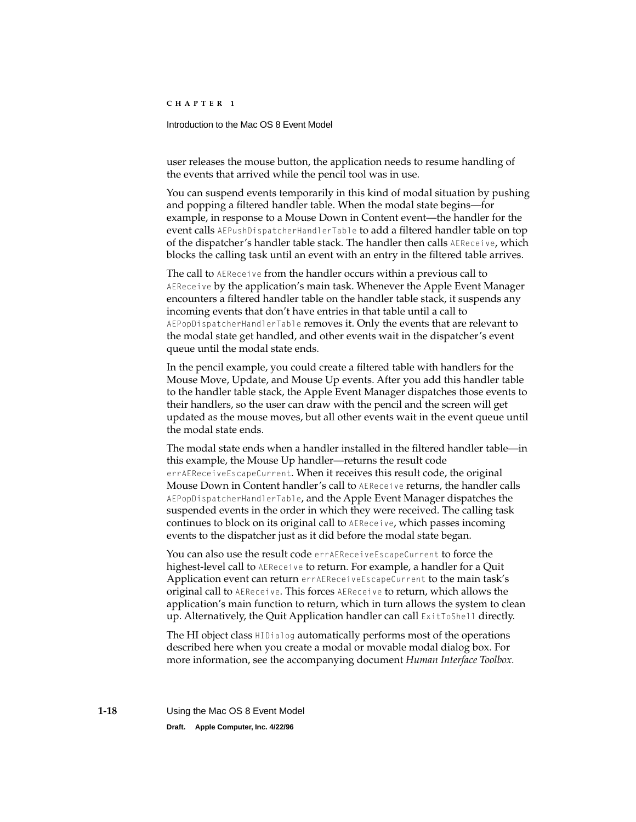## Introduction to the Mac OS 8 Event Model

user releases the mouse button, the application needs to resume handling of the events that arrived while the pencil tool was in use.

You can suspend events temporarily in this kind of modal situation by pushing and popping a filtered handler table. When the modal state begins—for example, in response to a Mouse Down in Content event—the handler for the event calls AEPushDispatcherHandlerTable to add a filtered handler table on top of the dispatcher's handler table stack. The handler then calls AEReceive, which blocks the calling task until an event with an entry in the filtered table arrives.

The call to AEReceive from the handler occurs within a previous call to AEReceive by the application's main task. Whenever the Apple Event Manager encounters a filtered handler table on the handler table stack, it suspends any incoming events that don't have entries in that table until a call to AEPopDispatcherHandlerTable removes it. Only the events that are relevant to the modal state get handled, and other events wait in the dispatcher's event queue until the modal state ends.

In the pencil example, you could create a filtered table with handlers for the Mouse Move, Update, and Mouse Up events. After you add this handler table to the handler table stack, the Apple Event Manager dispatches those events to their handlers, so the user can draw with the pencil and the screen will get updated as the mouse moves, but all other events wait in the event queue until the modal state ends.

The modal state ends when a handler installed in the filtered handler table—in this example, the Mouse Up handler—returns the result code errAEReceiveEscapeCurrent. When it receives this result code, the original Mouse Down in Content handler's call to AEReceive returns, the handler calls AEPopDispatcherHandlerTable, and the Apple Event Manager dispatches the suspended events in the order in which they were received. The calling task continues to block on its original call to AEReceive, which passes incoming events to the dispatcher just as it did before the modal state began.

You can also use the result code errAEReceiveEscapeCurrent to force the highest-level call to AEReceive to return. For example, a handler for a Quit Application event can return errAEReceiveEscapeCurrent to the main task's original call to AEReceive. This forces AEReceive to return, which allows the application's main function to return, which in turn allows the system to clean up. Alternatively, the Quit Application handler can call  $ExtToShell$  directly.

The HI object class HIDialog automatically performs most of the operations described here when you create a modal or movable modal dialog box. For more information, see the accompanying document *Human Interface Toolbox.*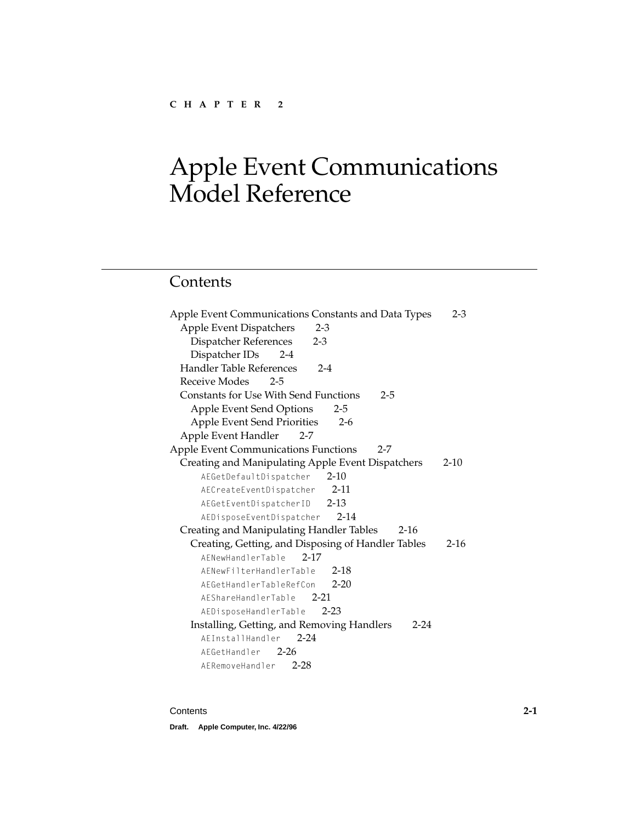# <span id="page-22-0"></span>**Contents**

| Apple Event Communications Constants and Data Types    | $2 - 3$  |
|--------------------------------------------------------|----------|
| Apple Event Dispatchers<br>$2 - 3$                     |          |
| Dispatcher References<br>$2 - 3$                       |          |
| Dispatcher IDs 2-4                                     |          |
| <b>Handler Table References</b><br>$2 - 4$             |          |
| Receive Modes 2-5                                      |          |
| Constants for Use With Send Functions<br>$2 - 5$       |          |
| Apple Event Send Options<br>$2 - 5$                    |          |
| Apple Event Send Priorities<br>$2-6$                   |          |
| Apple Event Handler<br>$2 - 7$                         |          |
| <b>Apple Event Communications Functions</b><br>$2 - 7$ |          |
| Creating and Manipulating Apple Event Dispatchers      | $2 - 10$ |
| AEGetDefaultDispatcher 2-10                            |          |
| AECreateEventDispatcher 2-11                           |          |
| AEGetEventDispatcherID 2-13                            |          |
| AEDisposeEventDispatcher 2-14                          |          |
| Creating and Manipulating Handler Tables<br>$2 - 16$   |          |
| Creating, Getting, and Disposing of Handler Tables     | $2 - 16$ |
| AENewHandlerTable<br>$2 - 17$                          |          |
| $2 - 18$<br>AFNewFilterHandlerTable                    |          |
| AFGetHandlerTableRefCon<br>$2 - 20$                    |          |
| AEShareHandlerTable 2-21                               |          |
| AEDisposeHandlerTable<br>$2 - 23$                      |          |
| Installing, Getting, and Removing Handlers<br>$2 - 24$ |          |
| $2 - 24$<br>AFInstallHandler                           |          |
| AFGetHandler 2-26                                      |          |
| AERemoveHandler 2-28                                   |          |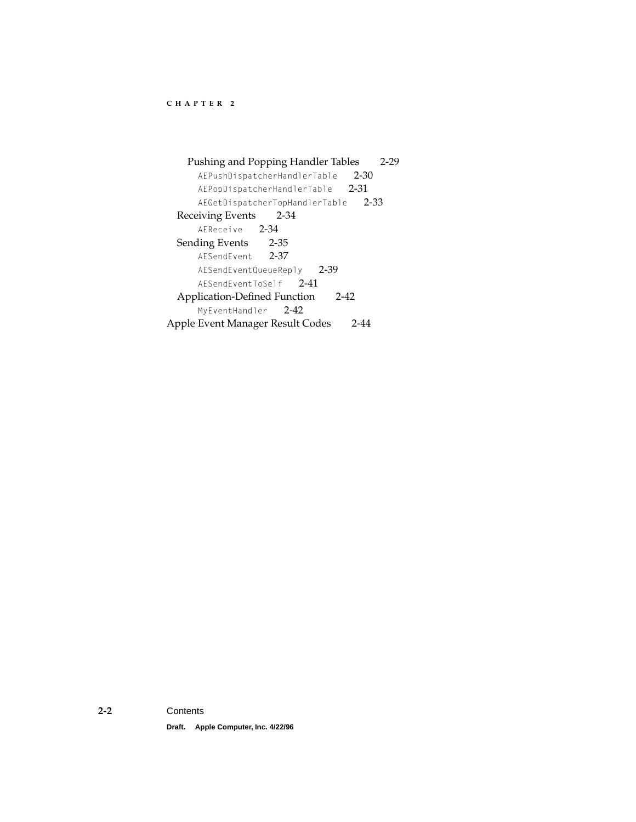[Pushing and Popping Handler Tables 2-29](#page-50-0) [AEPushDispatcherHandlerTable](#page-51-0) 2-30 [AEPopDispatcherHandlerTable](#page-52-0) 2-31 [AEGetDispatcherTopHandlerTable](#page-54-0) 2-33 [Receiving Events 2-34](#page-55-0) [AEReceive](#page-55-0) 2-34 [Sending Events 2-35](#page-56-0) [AESendEvent](#page-58-0) 2-37 [AESendEventQueueReply](#page-60-0) 2-39 [AESendEventToSelf](#page-62-0) 2-41 [Application-Defined Function 2-42](#page-63-0) [MyEventHandler](#page-63-0) 2-42 [Apple Event Manager Result Codes 2-44](#page-65-0)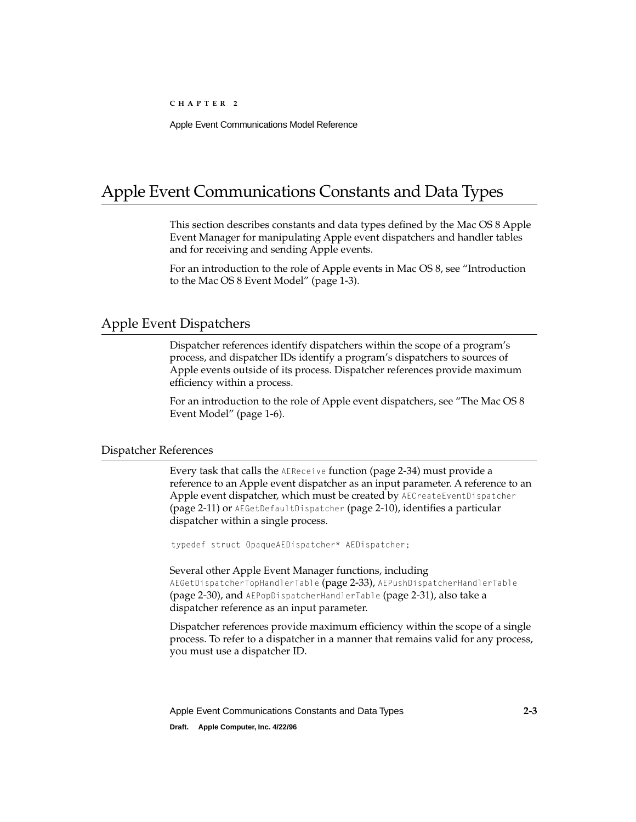# <span id="page-24-0"></span>Apple Event Communications Constants and Data Types 2

This section describes constants and data types defined by the Mac OS 8 Apple Event Manager for manipulating Apple event dispatchers and handler tables and for receiving and sending Apple events.

For an introduction to the role of Apple events in Mac OS 8, see ["Introduction](#page-6-0)  [to the Mac OS 8 Event Model" \(page 1-3\).](#page-6-0)

## Apple Event Dispatchers 2

Dispatcher references identify dispatchers within the scope of a program's process, and dispatcher IDs identify a program's dispatchers to sources of Apple events outside of its process. Dispatcher references provide maximum efficiency within a process.

For an introduction to the role of Apple event dispatchers, see ["The Mac OS 8](#page-9-0)  [Event Model" \(page 1-6\).](#page-9-0)

## Dispatcher References 2

Every task that calls the AEReceive function [\(page 2-34\)](#page-55-0) must provide a reference to an Apple event dispatcher as an input parameter. A reference to an Apple event dispatcher, which must be created by AECreateEventDispatcher [\(page 2-11\)](#page-32-0) or AEGetDefaultDispatcher [\(page 2-10\)](#page-31-2), identifies a particular dispatcher within a single process.

typedef struct OpaqueAEDispatcher\* AEDispatcher;

Several other Apple Event Manager functions, including AEGetDispatcherTopHandlerTable [\(page 2-33\),](#page-54-0) AEPushDispatcherHandlerTable [\(page 2-30\)](#page-51-0), and AEPopDispatcherHandlerTable [\(page 2-31\),](#page-52-0) also take a dispatcher reference as an input parameter.

Dispatcher references provide maximum efficiency within the scope of a single process. To refer to a dispatcher in a manner that remains valid for any process, you must use a dispatcher ID.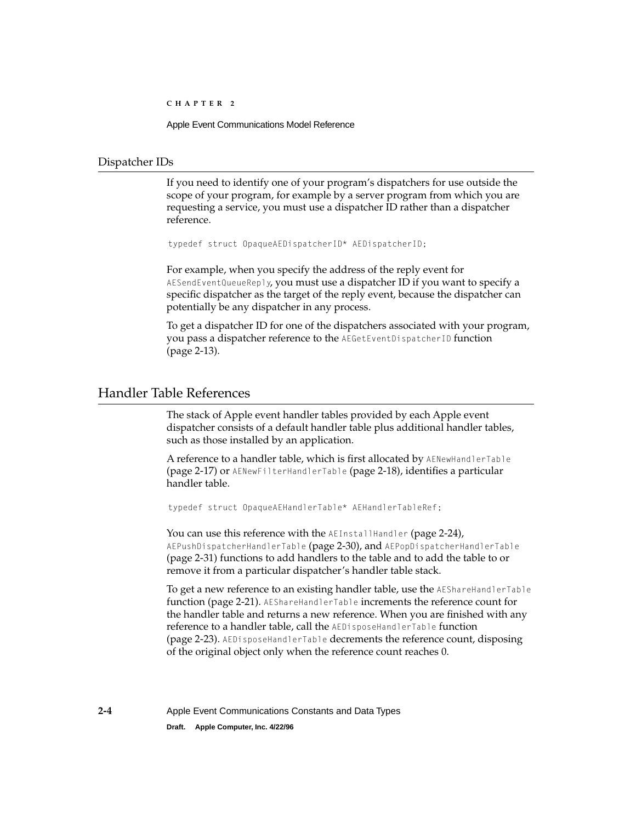Apple Event Communications Model Reference

## <span id="page-25-0"></span>Dispatcher IDs 2

If you need to identify one of your program's dispatchers for use outside the scope of your program, for example by a server program from which you are requesting a service, you must use a dispatcher ID rather than a dispatcher reference.

typedef struct OpaqueAEDispatcherID\* AEDispatcherID;

For example, when you specify the address of the reply event for AESendEventQueueReply, you must use a dispatcher ID if you want to specify a specific dispatcher as the target of the reply event, because the dispatcher can potentially be any dispatcher in any process.

To get a dispatcher ID for one of the dispatchers associated with your program, you pass a dispatcher reference to the AEGetEventDispatcherID function [\(page 2-13\)](#page-34-0).

## Handler Table References 2

The stack of Apple event handler tables provided by each Apple event dispatcher consists of a default handler table plus additional handler tables, such as those installed by an application.

A reference to a handler table, which is first allocated by AENewHandlerTable [\(page 2-17\)](#page-38-0) or AENewFilterHandlerTable [\(page 2-18\)](#page-39-0), identifies a particular handler table.

```
typedef struct OpaqueAEHandlerTable* AEHandlerTableRef;
```
You can use this reference with the AEInstallHandler [\(page 2-24\)](#page-45-0), AEPushDispatcherHandlerTable [\(page 2-30\)](#page-51-0), and AEPopDispatcherHandlerTable [\(page 2-31\)](#page-52-0) functions to add handlers to the table and to add the table to or remove it from a particular dispatcher's handler table stack.

To get a new reference to an existing handler table, use the AEShareHandlerTable function [\(page 2-21\).](#page-42-0) AEShareHandlerTable increments the reference count for the handler table and returns a new reference. When you are finished with any reference to a handler table, call the AEDisposeHandlerTable function [\(page 2-23\)](#page-44-0). AEDisposeHandlerTable decrements the reference count, disposing of the original object only when the reference count reaches 0.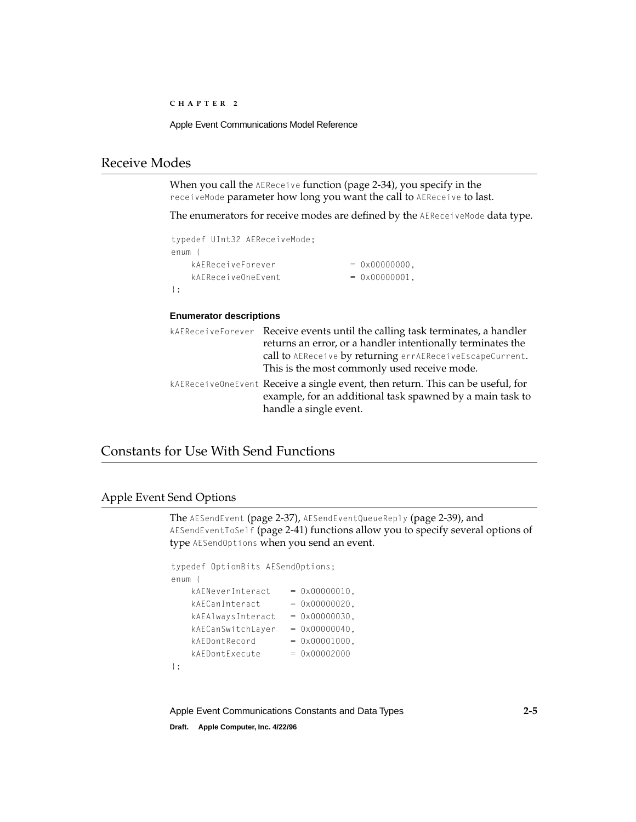Apple Event Communications Model Reference

## <span id="page-26-0"></span>**Receive Modes**

When you call the AEReceive function [\(page 2-34\)](#page-55-0), you specify in the receiveMode parameter how long you want the call to AEReceive to last.

The enumerators for receive modes are defined by the AEReceiveMode data type.

| typedef UInt32 AEReceiveMode: |                          |
|-------------------------------|--------------------------|
| enum                          |                          |
| kAFReceiveForever             | $= 0 \times 000000000$ . |
| kAFReceiveOneFvent            | $= 0 \times 00000001$ .  |
| $\cdot$ :                     |                          |

## **Enumerator descriptions**

| kAEReceiveForever Receive events until the calling task terminates, a handler                                                                |  |
|----------------------------------------------------------------------------------------------------------------------------------------------|--|
| returns an error, or a handler intentionally terminates the                                                                                  |  |
| call to AEReceive by returning errAEReceiveEscapeCurrent.                                                                                    |  |
| This is the most commonly used receive mode.                                                                                                 |  |
| kAEReceive0neEvent Receive a single event, then return. This can be useful, for<br>example, for an additional task spawned by a main task to |  |
| handle a single event.                                                                                                                       |  |

# Constants for Use With Send Functions 2

## Apple Event Send Options 2

The AESendEvent [\(page 2-37\),](#page-58-0) AESendEventQueueReply [\(page 2-39\),](#page-60-0) and AESendEventToSelf [\(page 2-41\)](#page-62-0) functions allow you to specify several options of type AESendOptions when you send an event.

```
typedef OptionBits AESendOptions;
enum {
   kAENeverInteract = 0x00000010.kAECanInteract = 0x00000020.
   kAEA1waysInteract = 0x00000030,kAECanSwitchLayer = 0x00000040,kAEDontRecord = 0x00001000,kAEDontExecute = 0x00002000};
```
Apple Event Communications Constants and Data Types **2-5**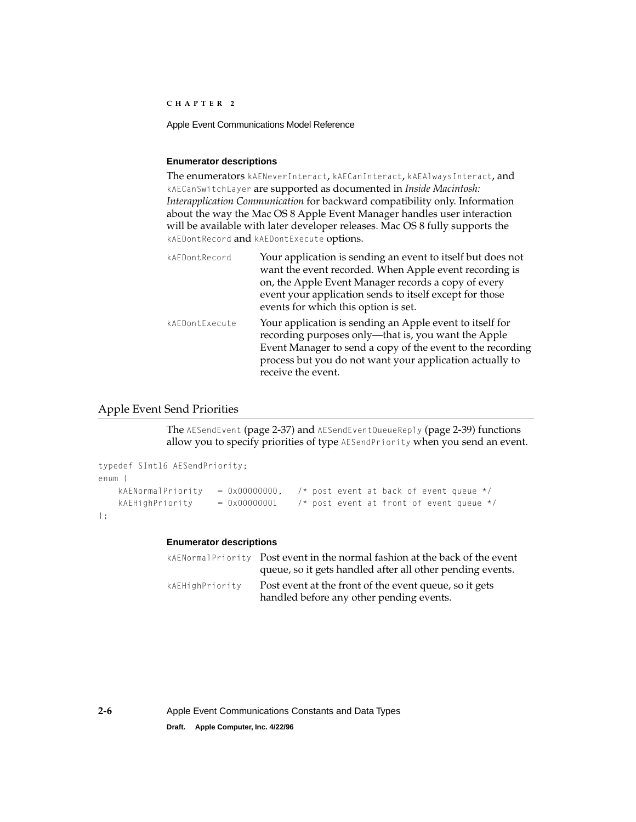<span id="page-27-0"></span>Apple Event Communications Model Reference

## **Enumerator descriptions**

The enumerators kAENeverInteract, kAECanInteract, kAEA1waysInteract, and kAECanSwitchLayer are supported as documented in *Inside Macintosh: Interapplication Communication* for backward compatibility only. Information about the way the Mac OS 8 Apple Event Manager handles user interaction will be available with later developer releases. Mac OS 8 fully supports the kAEDontRecord and kAEDontExecute options.

| kAEDontRecord  | Your application is sending an event to itself but does not<br>want the event recorded. When Apple event recording is<br>on, the Apple Event Manager records a copy of every<br>event your application sends to itself except for those<br>events for which this option is set. |
|----------------|---------------------------------------------------------------------------------------------------------------------------------------------------------------------------------------------------------------------------------------------------------------------------------|
| kAEDontExecute | Your application is sending an Apple event to itself for<br>recording purposes only—that is, you want the Apple<br>Event Manager to send a copy of the event to the recording<br>process but you do not want your application actually to<br>receive the event.                 |

## Apple Event Send Priorities

The AESendEvent [\(page 2-37\)](#page-58-0) and AESendEventQueueReply [\(page 2-39\)](#page-60-0) functions allow you to specify priorities of type AESendPriority when you send an event.

```
typedef SInt16 AESendPriority;
enum {
    kAENormalPriority = 0 \times 00000000, /* post event at back of event queue */
    kAEHighPriority = 0 \times 00000001 /* post event at front of event queue */
};
```
## **Enumerator descriptions**

|                 | kAENormalPriority Post event in the normal fashion at the back of the event |
|-----------------|-----------------------------------------------------------------------------|
|                 | queue, so it gets handled after all other pending events.                   |
| kAEHighPriority | Post event at the front of the event queue, so it gets                      |
|                 | handled before any other pending events.                                    |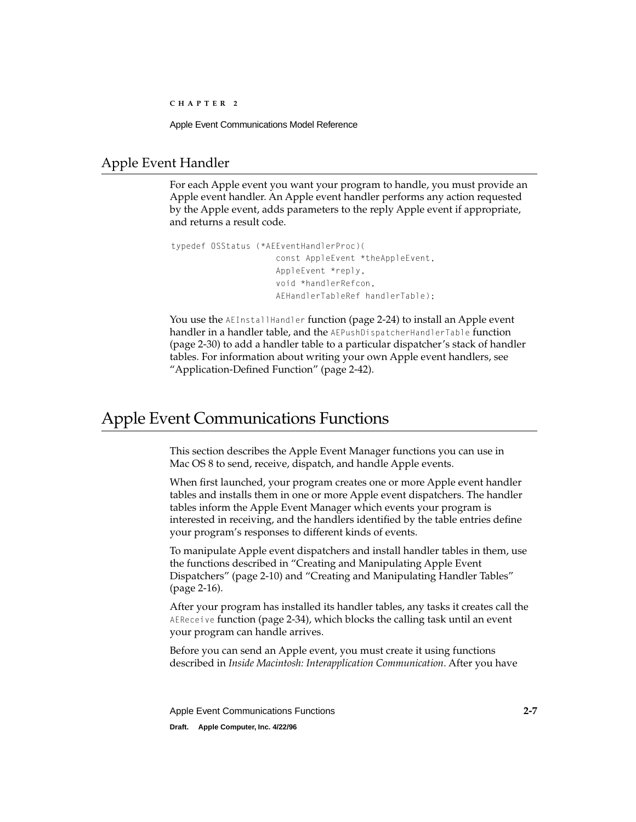## <span id="page-28-0"></span>Apple Event Handler 2

For each Apple event you want your program to handle, you must provide an Apple event handler. An Apple event handler performs any action requested by the Apple event, adds parameters to the reply Apple event if appropriate, and returns a result code.

```
typedef OSStatus (*AEEventHandlerProc)(
                      const AppleEvent *theAppleEvent, 
                      AppleEvent *reply, 
                      void *handlerRefcon, 
                      AEHandlerTableRef handlerTable);
```
You use the AEInstallHandler function [\(page 2-24\)](#page-45-0) to install an Apple event handler in a handler table, and the AEPushDispatcherHandlerTable function [\(page 2-30\)](#page-51-0) to add a handler table to a particular dispatcher's stack of handler tables. For information about writing your own Apple event handlers, see ["Application-Defined Function" \(page 2-42\).](#page-63-0)

# Apple Event Communications Functions

This section describes the Apple Event Manager functions you can use in Mac OS 8 to send, receive, dispatch, and handle Apple events.

When first launched, your program creates one or more Apple event handler tables and installs them in one or more Apple event dispatchers. The handler tables inform the Apple Event Manager which events your program is interested in receiving, and the handlers identified by the table entries define your program's responses to different kinds of events.

To manipulate Apple event dispatchers and install handler tables in them, use the functions described in ["Creating and Manipulating Apple Event](#page-31-2)  [Dispatchers" \(page 2-10\)](#page-31-2) and ["Creating and Manipulating Handler Tables"](#page-37-0) [\(page 2-16\)](#page-37-0).

After your program has installed its handler tables, any tasks it creates call the AEReceive function [\(page 2-34\),](#page-55-0) which blocks the calling task until an event your program can handle arrives.

Before you can send an Apple event, you must create it using functions described in *Inside Macintosh: Interapplication Communication*. After you have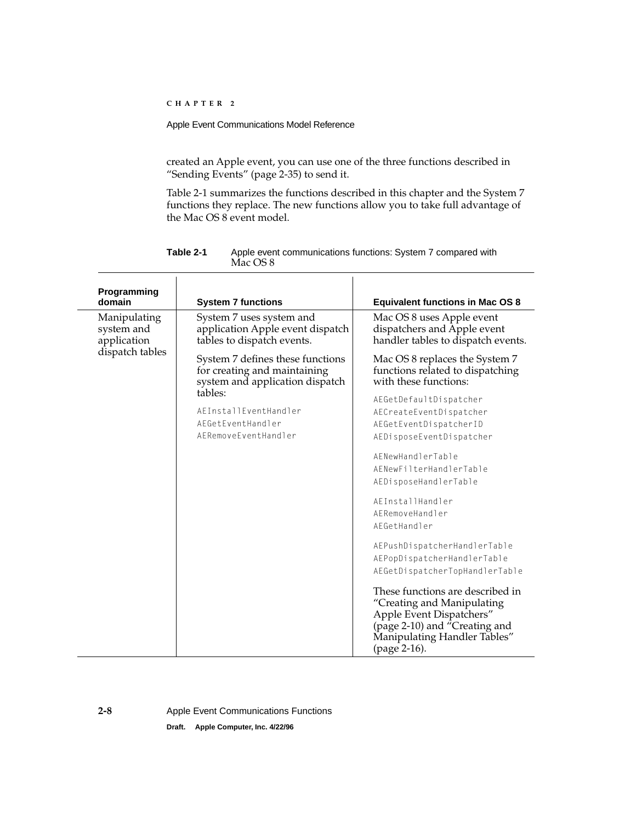created an Apple event, you can use one of the three functions described in ["Sending Events" \(page 2-35\)](#page-56-0) to send it.

Table 2-1 summarizes the functions described in this chapter and the System 7 functions they replace. The new functions allow you to take full advantage of the Mac OS 8 event model.

| Programming<br>domain                     | <b>System 7 functions</b>                                                                                                                                                            | <b>Equivalent functions in Mac OS 8</b>                                                                                                                                                                                                                                                                                                                                                                                                                                                                                                                                |
|-------------------------------------------|--------------------------------------------------------------------------------------------------------------------------------------------------------------------------------------|------------------------------------------------------------------------------------------------------------------------------------------------------------------------------------------------------------------------------------------------------------------------------------------------------------------------------------------------------------------------------------------------------------------------------------------------------------------------------------------------------------------------------------------------------------------------|
| Manipulating<br>system and<br>application | System 7 uses system and<br>application Apple event dispatch<br>tables to dispatch events.                                                                                           | Mac OS 8 uses Apple event<br>dispatchers and Apple event<br>handler tables to dispatch events.                                                                                                                                                                                                                                                                                                                                                                                                                                                                         |
| dispatch tables                           | System 7 defines these functions<br>for creating and maintaining<br>system and application dispatch<br>tables:<br>AEInstallEventHandler<br>AEGetEventHandler<br>AERemoveEventHandler | Mac OS 8 replaces the System 7<br>functions related to dispatching<br>with these functions:<br>AEGetDefaultDispatcher<br>AECreateEventDispatcher<br>AEGetEventDispatcherID<br>AEDisposeEventDispatcher<br>AENewHandlerTable<br>AENewFilterHandlerTable<br>AEDisposeHandlerTable<br>AEInstallHandler<br>AERemoveHandler<br>AEGetHandler<br>AEPushDispatcherHandlerTable<br>AEPopDispatcherHandlerTable<br>AEGetDispatcherTopHandlerTable<br>These functions are described in<br>"Creating and Manipulating<br>Apple Event Dispatchers"<br>(page 2-10) and "Creating and |
|                                           |                                                                                                                                                                                      | Manipulating Handler Tables"<br>(page 2-16).                                                                                                                                                                                                                                                                                                                                                                                                                                                                                                                           |

**Table 2-1** Apple event communications functions: System 7 compared with Mac OS 8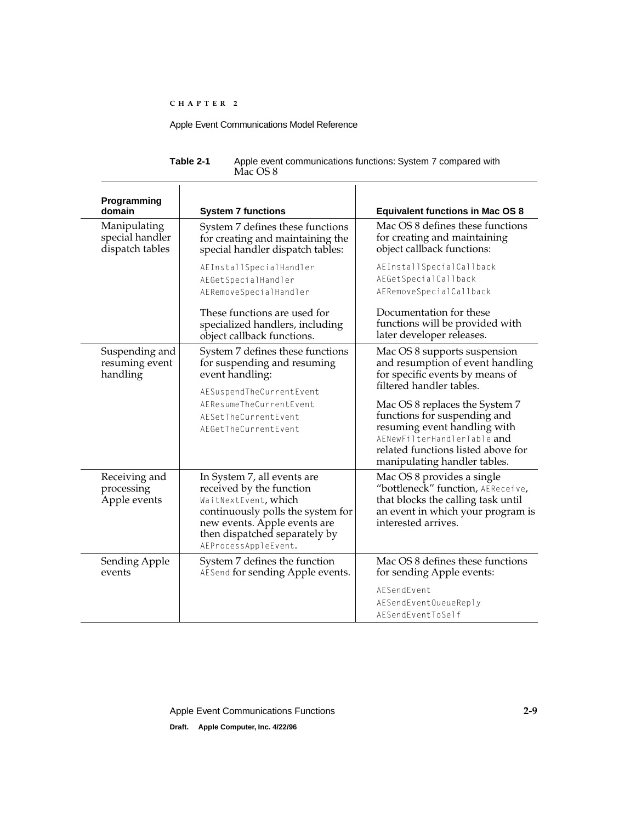| Table 2-1 | Apple event communications functions: System 7 compared with |
|-----------|--------------------------------------------------------------|
|           | Mac OS 8                                                     |

| Programming<br>domain                              | <b>System 7 functions</b>                                                                                                                                                                                     | <b>Equivalent functions in Mac OS 8</b>                                                                                                                                                             |
|----------------------------------------------------|---------------------------------------------------------------------------------------------------------------------------------------------------------------------------------------------------------------|-----------------------------------------------------------------------------------------------------------------------------------------------------------------------------------------------------|
| Manipulating<br>special handler<br>dispatch tables | System 7 defines these functions<br>for creating and maintaining the<br>special handler dispatch tables:                                                                                                      | Mac OS 8 defines these functions<br>for creating and maintaining<br>object callback functions:                                                                                                      |
|                                                    | AEInstallSpecialHandler<br>AEGetSpecialHandler<br>AERemoveSpecialHandler                                                                                                                                      | AEInstallSpecialCallback<br>AEGetSpecialCallback<br>AERemoveSpecialCallback                                                                                                                         |
|                                                    | These functions are used for<br>specialized handlers, including<br>object callback functions.                                                                                                                 | Documentation for these<br>functions will be provided with<br>later developer releases.                                                                                                             |
| Suspending and<br>resuming event<br>handling       | System 7 defines these functions<br>for suspending and resuming<br>event handling:                                                                                                                            | Mac OS 8 supports suspension<br>and resumption of event handling<br>for specific events by means of<br>filtered handler tables.                                                                     |
|                                                    | AESuspendTheCurrentEvent<br>AEResumeTheCurrentEvent<br>AESetTheCurrentEvent<br>AEGetTheCurrentEvent                                                                                                           | Mac OS 8 replaces the System 7<br>functions for suspending and<br>resuming event handling with<br>AENewFilterHandlerTable and<br>related functions listed above for<br>manipulating handler tables. |
| Receiving and<br>processing<br>Apple events        | In System 7, all events are<br>received by the function<br>WaitNextEvent, which<br>continuously polls the system for<br>new events. Apple events are<br>then dispatched separately by<br>AEProcessAppleEvent. | Mac OS 8 provides a single<br>"bottleneck" function, AEReceive,<br>that blocks the calling task until<br>an event in which your program is<br>interested arrives.                                   |
| Sending Apple<br>events                            | System 7 defines the function<br>AESend for sending Apple events.                                                                                                                                             | Mac OS 8 defines these functions<br>for sending Apple events:                                                                                                                                       |
|                                                    |                                                                                                                                                                                                               | AFSendFvent<br>AESendEventQueueReply<br>AFSendFventToSelf                                                                                                                                           |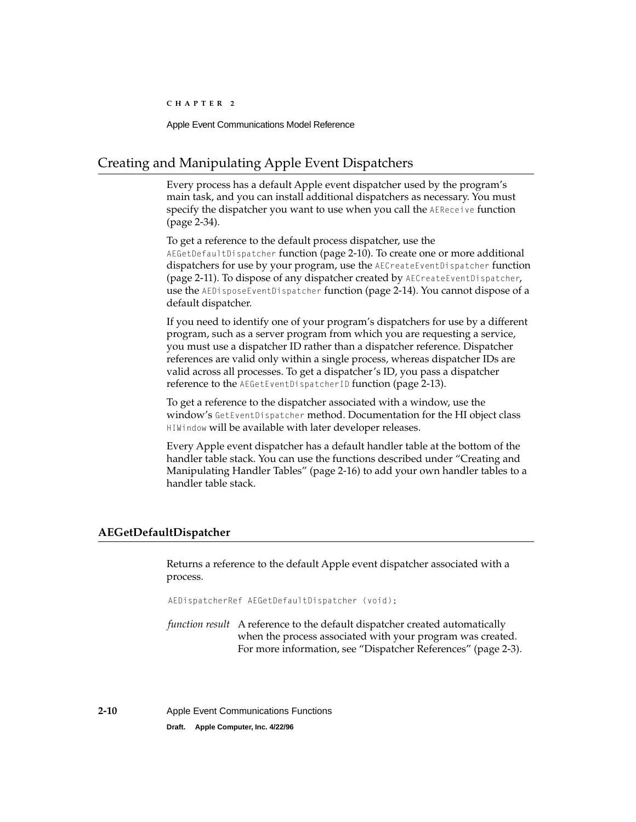# <span id="page-31-2"></span><span id="page-31-1"></span><span id="page-31-0"></span>Creating and Manipulating Apple Event Dispatchers 2

Every process has a default Apple event dispatcher used by the program's main task, and you can install additional dispatchers as necessary. You must specify the dispatcher you want to use when you call the AEReceive function [\(page 2-34\)](#page-55-0).

To get a reference to the default process dispatcher, use the AEGetDefaultDispatcher function (page 2-10). To create one or more additional dispatchers for use by your program, use the AECreateEventDispatcher function [\(page 2-11\).](#page-32-0) To dispose of any dispatcher created by AECreateEventDispatcher, use the AEDisposeEventDispatcher function [\(page 2-14\)](#page-35-0). You cannot dispose of a default dispatcher.

If you need to identify one of your program's dispatchers for use by a different program, such as a server program from which you are requesting a service, you must use a dispatcher ID rather than a dispatcher reference. Dispatcher references are valid only within a single process, whereas dispatcher IDs are valid across all processes. To get a dispatcher's ID, you pass a dispatcher reference to the AEGetEventDispatcherID function [\(page 2-13\)](#page-34-0).

To get a reference to the dispatcher associated with a window, use the window's GetEventDispatcher method. Documentation for the HI object class HIWindow will be available with later developer releases.

Every Apple event dispatcher has a default handler table at the bottom of the handler table stack. You can use the functions described under ["Creating and](#page-37-0)  [Manipulating Handler Tables" \(page 2-16\)](#page-37-0) to add your own handler tables to a handler table stack.

## **AEGetDefaultDispatcher 2**

Returns a reference to the default Apple event dispatcher associated with a process.

AEDispatcherRef AEGetDefaultDispatcher (void);

*function result* A reference to the default dispatcher created automatically when the process associated with your program was created. For more information, see ["Dispatcher References" \(page 2-3\)](#page-24-0).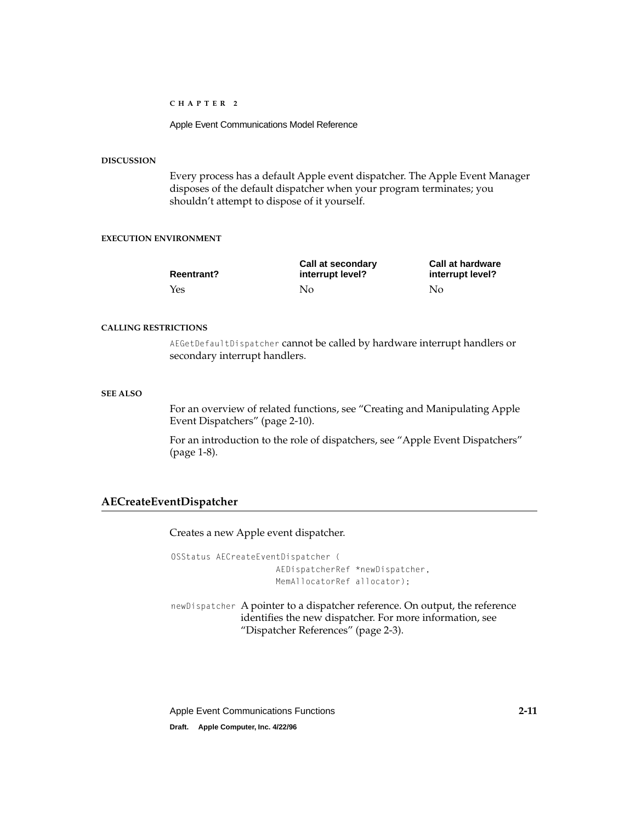Apple Event Communications Model Reference

## <span id="page-32-0"></span>**DISCUSSION**

Every process has a default Apple event dispatcher. The Apple Event Manager disposes of the default dispatcher when your program terminates; you shouldn't attempt to dispose of it yourself.

## **EXECUTION ENVIRONMENT**

| <b>Reentrant?</b> | Call at secondary<br>interrupt level? | <b>Call at hardware</b><br>interrupt level? |
|-------------------|---------------------------------------|---------------------------------------------|
| Yes               | Nο                                    | No                                          |

#### **CALLING RESTRICTIONS**

AEGetDefaultDispatcher cannot be called by hardware interrupt handlers or secondary interrupt handlers.

## **SEE ALSO**

For an overview of related functions, see ["Creating and Manipulating Apple](#page-31-2)  [Event Dispatchers" \(page 2-10\)](#page-31-2).

For an introduction to the role of dispatchers, see ["Apple Event Dispatchers"](#page-11-0)  [\(page 1-8\)](#page-11-0).

## **AECreateEventDispatcher 2**

Creates a new Apple event dispatcher.

```
OSStatus AECreateEventDispatcher (
                     AEDispatcherRef *newDispatcher, 
                     MemAllocatorRef allocator);
```
newDispatcher A pointer to a dispatcher reference. On output, the reference identifies the new dispatcher. For more information, see ["Dispatcher References" \(page 2-3\)](#page-24-0).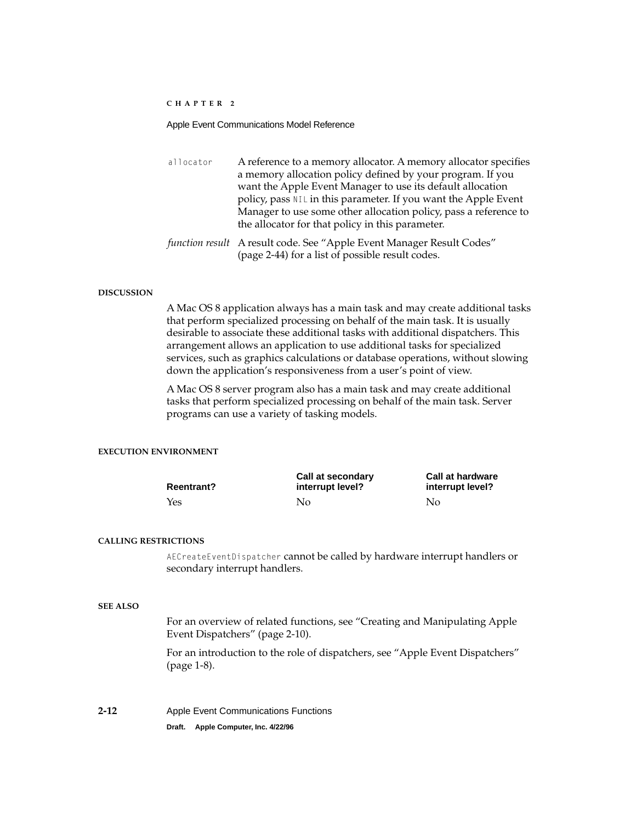### Apple Event Communications Model Reference

| allocator | A reference to a memory allocator. A memory allocator specifies       |
|-----------|-----------------------------------------------------------------------|
|           | a memory allocation policy defined by your program. If you            |
|           | want the Apple Event Manager to use its default allocation            |
|           | policy, pass NIL in this parameter. If you want the Apple Event       |
|           | Manager to use some other allocation policy, pass a reference to      |
|           | the allocator for that policy in this parameter.                      |
|           | function result A result code. See "Apple Event Manager Result Codes" |

[\(page 2-44\)](#page-65-0) for a list of possible result codes.

#### **DISCUSSION**

A Mac OS 8 application always has a main task and may create additional tasks that perform specialized processing on behalf of the main task. It is usually desirable to associate these additional tasks with additional dispatchers. This arrangement allows an application to use additional tasks for specialized services, such as graphics calculations or database operations, without slowing down the application's responsiveness from a user's point of view.

A Mac OS 8 server program also has a main task and may create additional tasks that perform specialized processing on behalf of the main task. Server programs can use a variety of tasking models.

## **EXECUTION ENVIRONMENT**

| <b>Reentrant?</b> | Call at secondary<br>interrupt level? | <b>Call at hardware</b><br>interrupt level? |
|-------------------|---------------------------------------|---------------------------------------------|
| Yes               | Nο                                    | No                                          |

#### **CALLING RESTRICTIONS**

AECreateEventDispatcher cannot be called by hardware interrupt handlers or secondary interrupt handlers.

## **SEE ALSO**

For an overview of related functions, see ["Creating and Manipulating Apple](#page-31-2)  [Event Dispatchers" \(page 2-10\)](#page-31-2).

For an introduction to the role of dispatchers, see ["Apple Event Dispatchers"](#page-11-0)  [\(page 1-8\)](#page-11-0).

**2-12** Apple Event Communications Functions **Draft. Apple Computer, Inc. 4/22/96**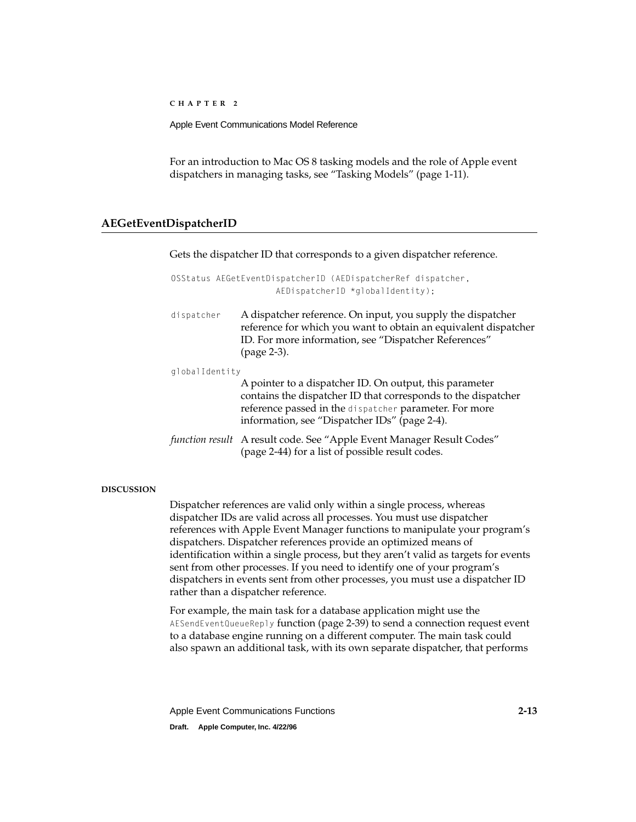<span id="page-34-0"></span>Apple Event Communications Model Reference

For an introduction to Mac OS 8 tasking models and the role of Apple event dispatchers in managing tasks, see ["Tasking Models" \(page 1-11\)](#page-14-0).

## **AEGetEventDispatcherID 2**

Gets the dispatcher ID that corresponds to a given dispatcher reference.

|                | OSStatus AEGetEventDispatcherID (AEDispatcherRef dispatcher,<br>$AEDispatcherID *qloballdentity);$                                                                                                                                  |
|----------------|-------------------------------------------------------------------------------------------------------------------------------------------------------------------------------------------------------------------------------------|
| dispatcher     | A dispatcher reference. On input, you supply the dispatcher<br>reference for which you want to obtain an equivalent dispatcher<br>ID. For more information, see "Dispatcher References"<br>(page 2-3).                              |
| qlobalIdentity | A pointer to a dispatcher ID. On output, this parameter<br>contains the dispatcher ID that corresponds to the dispatcher<br>reference passed in the dispatcher parameter. For more<br>information, see "Dispatcher IDs" (page 2-4). |
|                | function result A result code. See "Apple Event Manager Result Codes"<br>(page 2-44) for a list of possible result codes.                                                                                                           |

## **DISCUSSION**

Dispatcher references are valid only within a single process, whereas dispatcher IDs are valid across all processes. You must use dispatcher references with Apple Event Manager functions to manipulate your program's dispatchers. Dispatcher references provide an optimized means of identification within a single process, but they aren't valid as targets for events sent from other processes. If you need to identify one of your program's dispatchers in events sent from other processes, you must use a dispatcher ID rather than a dispatcher reference.

For example, the main task for a database application might use the AESendEventQueueReply function [\(page 2-39\)](#page-60-0) to send a connection request event to a database engine running on a different computer. The main task could also spawn an additional task, with its own separate dispatcher, that performs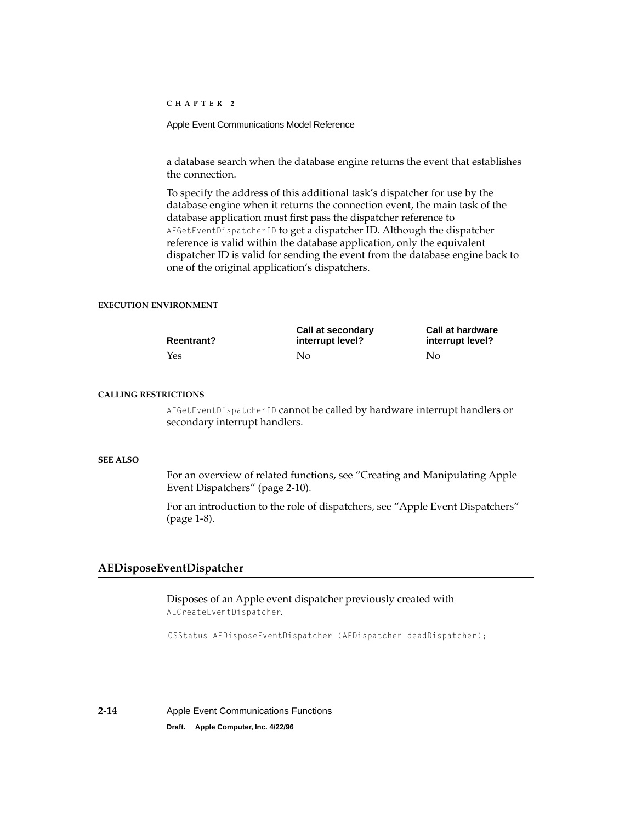<span id="page-35-0"></span>Apple Event Communications Model Reference

a database search when the database engine returns the event that establishes the connection.

To specify the address of this additional task's dispatcher for use by the database engine when it returns the connection event, the main task of the database application must first pass the dispatcher reference to AEGetEventDispatcherID to get a dispatcher ID. Although the dispatcher reference is valid within the database application, only the equivalent dispatcher ID is valid for sending the event from the database engine back to one of the original application's dispatchers.

## **EXECUTION ENVIRONMENT**

| <b>Reentrant?</b> | Call at secondary<br>interrupt level? | <b>Call at hardware</b><br>interrupt level? |
|-------------------|---------------------------------------|---------------------------------------------|
| Yes               | Nο                                    | No                                          |

## **CALLING RESTRICTIONS**

AEGetEventDispatcherID cannot be called by hardware interrupt handlers or secondary interrupt handlers.

## **SEE ALSO**

For an overview of related functions, see ["Creating and Manipulating Apple](#page-31-2)  [Event Dispatchers" \(page 2-10\)](#page-31-2).

For an introduction to the role of dispatchers, see ["Apple Event Dispatchers"](#page-11-0)  [\(page 1-8\)](#page-11-0).

## **AEDisposeEventDispatcher 2**

Disposes of an Apple event dispatcher previously created with AECreateEventDispatcher.

OSStatus AEDisposeEventDispatcher (AEDispatcher deadDispatcher);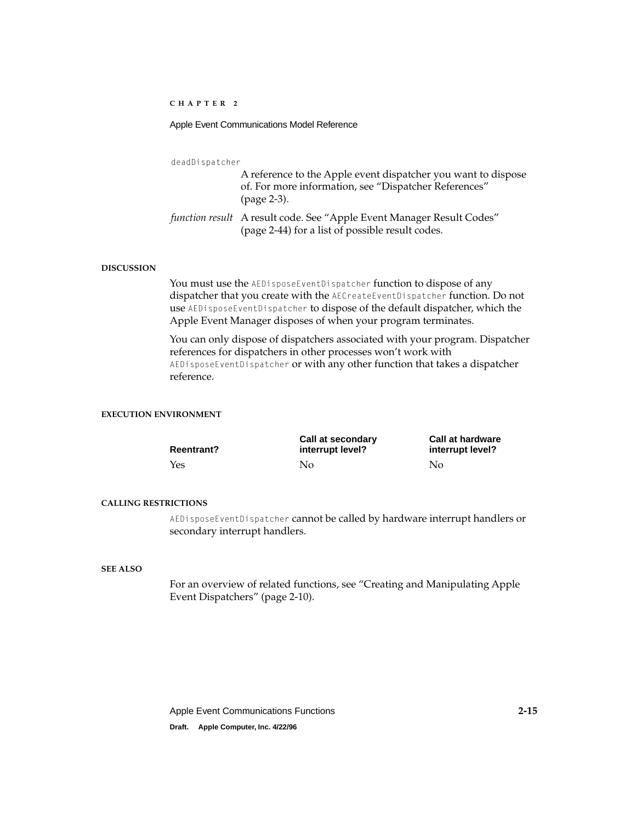## Apple Event Communications Model Reference

deadDispatcher

A reference to the Apple event dispatcher you want to dispose of. For more information, see ["Dispatcher References"](#page-24-0)  [\(page 2-3\).](#page-24-0) *function result* A result code. See ["Apple Event Manager Result Codes"](#page-65-0) 

#### **DISCUSSION**

You must use the AEDisposeEventDispatcher function to dispose of any dispatcher that you create with the AECreateEventDispatcher function. Do not use AEDisposeEventDispatcher to dispose of the default dispatcher, which the Apple Event Manager disposes of when your program terminates.

[\(page 2-44\)](#page-65-0) for a list of possible result codes.

You can only dispose of dispatchers associated with your program. Dispatcher references for dispatchers in other processes won't work with AEDisposeEventDispatcher or with any other function that takes a dispatcher reference.

## **EXECUTION ENVIRONMENT**

| <b>Reentrant?</b> | Call at secondary<br>interrupt level? | <b>Call at hardware</b><br>interrupt level? |
|-------------------|---------------------------------------|---------------------------------------------|
| Yes               | No.                                   | No                                          |

#### **CALLING RESTRICTIONS**

AEDisposeEventDispatcher cannot be called by hardware interrupt handlers or secondary interrupt handlers.

#### **SEE ALSO**

For an overview of related functions, see ["Creating and Manipulating Apple](#page-31-2)  [Event Dispatchers" \(page 2-10\)](#page-31-2).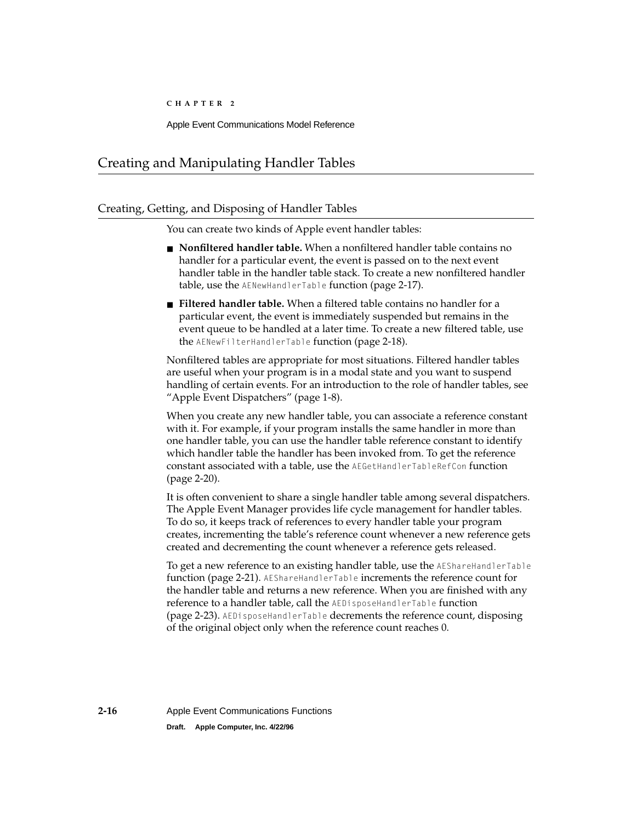# <span id="page-37-0"></span>Creating and Manipulating Handler Tables 2

## Creating, Getting, and Disposing of Handler Tables 2

You can create two kinds of Apple event handler tables:

- **Nonfiltered handler table.** When a nonfiltered handler table contains no handler for a particular event, the event is passed on to the next event handler table in the handler table stack. To create a new nonfiltered handler table, use the AENewHandlerTable function [\(page 2-17\)](#page-38-0).
- **Filtered handler table.** When a filtered table contains no handler for a particular event, the event is immediately suspended but remains in the event queue to be handled at a later time. To create a new filtered table, use the AENewFilterHandlerTable function [\(page 2-18\)](#page-39-0).

Nonfiltered tables are appropriate for most situations. Filtered handler tables are useful when your program is in a modal state and you want to suspend handling of certain events. For an introduction to the role of handler tables, see ["Apple Event Dispatchers" \(page 1-8\)](#page-11-0).

When you create any new handler table, you can associate a reference constant with it. For example, if your program installs the same handler in more than one handler table, you can use the handler table reference constant to identify which handler table the handler has been invoked from. To get the reference constant associated with a table, use the AEGetHandlerTableRefCon function [\(page 2-20\)](#page-41-0).

It is often convenient to share a single handler table among several dispatchers. The Apple Event Manager provides life cycle management for handler tables. To do so, it keeps track of references to every handler table your program creates, incrementing the table's reference count whenever a new reference gets created and decrementing the count whenever a reference gets released.

To get a new reference to an existing handler table, use the AEShareHandlerTable function [\(page 2-21\).](#page-42-0) AEShareHandlerTable increments the reference count for the handler table and returns a new reference. When you are finished with any reference to a handler table, call the AEDisposeHandlerTable function [\(page 2-23\)](#page-44-0). AEDisposeHandlerTable decrements the reference count, disposing of the original object only when the reference count reaches 0.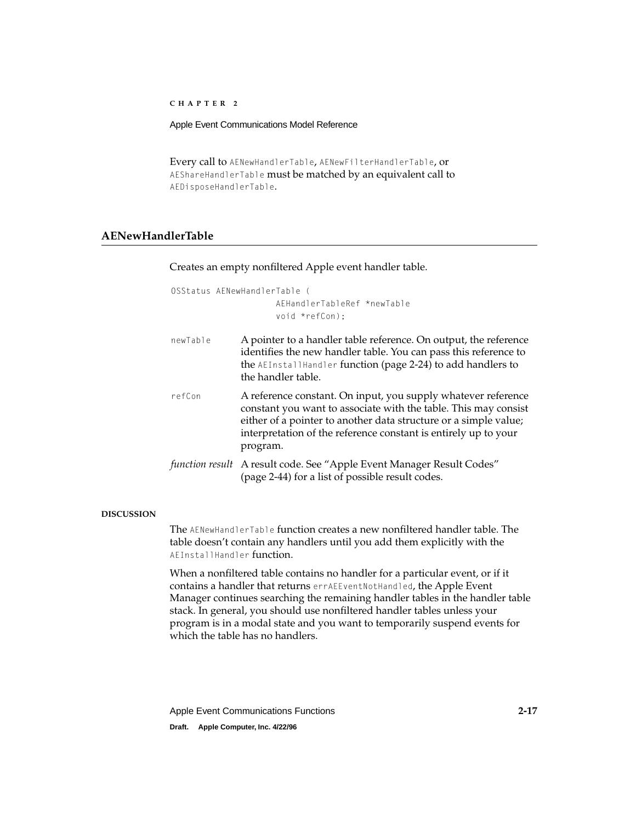## <span id="page-38-0"></span>Apple Event Communications Model Reference

Every call to AENewHandlerTable, AENewFilterHandlerTable, or AEShareHandlerTable must be matched by an equivalent call to AEDisposeHandlerTable.

## **AENewHandlerTable 2**

Creates an empty nonfiltered Apple event handler table.

```
OSStatus AENewHandlerTable (
                     AEHandlerTableRef *newTable
                     void *refCon);
```
- newTable A pointer to a handler table reference. On output, the reference identifies the new handler table. You can pass this reference to the AEInstallHandler function [\(page 2-24\)](#page-45-0) to add handlers to the handler table.
- refCon A reference constant. On input, you supply whatever reference constant you want to associate with the table. This may consist either of a pointer to another data structure or a simple value; interpretation of the reference constant is entirely up to your program.
- *function result* A result code. See ["Apple Event Manager Result Codes"](#page-65-0)  [\(page 2-44\)](#page-65-0) for a list of possible result codes.

## **DISCUSSION**

The AENewHandlerTable function creates a new nonfiltered handler table. The table doesn't contain any handlers until you add them explicitly with the AEInstallHandler function.

When a nonfiltered table contains no handler for a particular event, or if it contains a handler that returns errAEEventNotHandled, the Apple Event Manager continues searching the remaining handler tables in the handler table stack. In general, you should use nonfiltered handler tables unless your program is in a modal state and you want to temporarily suspend events for which the table has no handlers.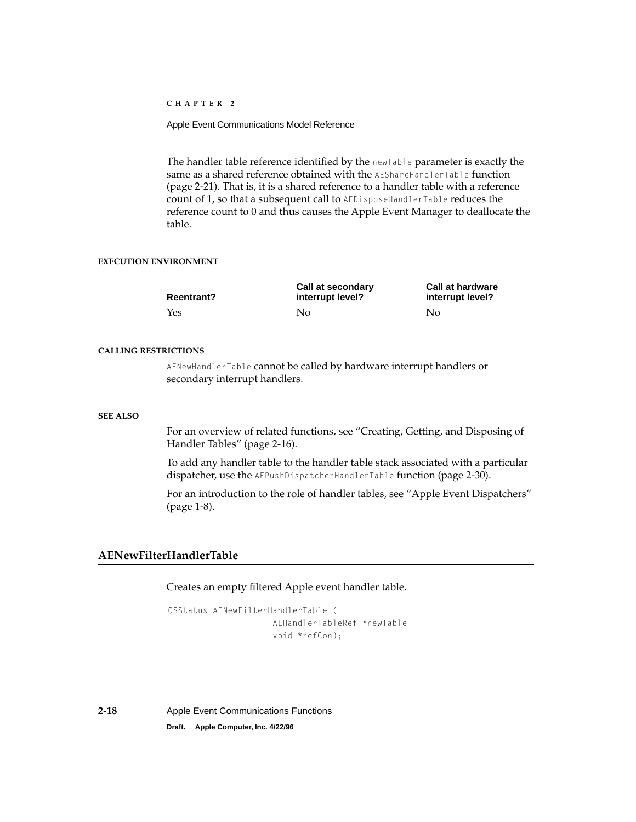<span id="page-39-0"></span>Apple Event Communications Model Reference

The handler table reference identified by the newTable parameter is exactly the same as a shared reference obtained with the AEShareHandlerTable function [\(page 2-21\)](#page-42-0). That is, it is a shared reference to a handler table with a reference count of 1, so that a subsequent call to AEDisposeHandlerTable reduces the reference count to 0 and thus causes the Apple Event Manager to deallocate the table.

## **EXECUTION ENVIRONMENT**

| <b>Reentrant?</b> | Call at secondary<br>interrupt level? | <b>Call at hardware</b><br>interrupt level? |
|-------------------|---------------------------------------|---------------------------------------------|
| Yes               | No                                    | No                                          |

## **CALLING RESTRICTIONS**

AENewHandlerTable cannot be called by hardware interrupt handlers or secondary interrupt handlers.

### **SEE ALSO**

For an overview of related functions, see ["Creating, Getting, and Disposing of](#page-37-0)  [Handler Tables" \(page 2-16\).](#page-37-0)

To add any handler table to the handler table stack associated with a particular dispatcher, use the AEPushDispatcherHandlerTable function [\(page 2-30\)](#page-51-0).

For an introduction to the role of handler tables, see ["Apple Event Dispatchers"](#page-11-0)  [\(page 1-8\)](#page-11-0).

## **AENewFilterHandlerTable 2**

## Creates an empty filtered Apple event handler table.

OSStatus AENewFilterHandlerTable ( AEHandlerTableRef \*newTable void \*refCon);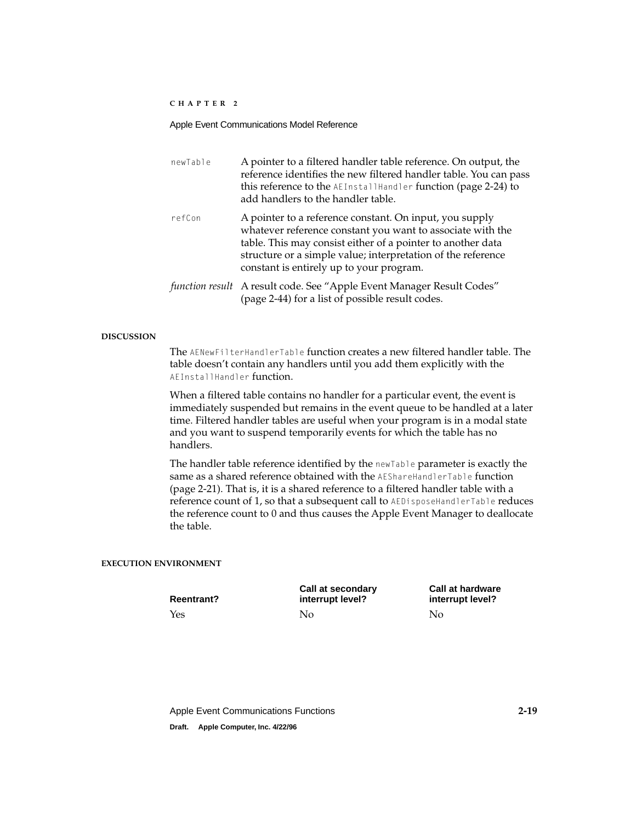| newTable | A pointer to a filtered handler table reference. On output, the<br>reference identifies the new filtered handler table. You can pass<br>this reference to the AEInstallHandler function (page 2-24) to<br>add handlers to the handler table.                                                     |
|----------|--------------------------------------------------------------------------------------------------------------------------------------------------------------------------------------------------------------------------------------------------------------------------------------------------|
| refCon   | A pointer to a reference constant. On input, you supply<br>whatever reference constant you want to associate with the<br>table. This may consist either of a pointer to another data<br>structure or a simple value; interpretation of the reference<br>constant is entirely up to your program. |
|          | function result A result code. See "Apple Event Manager Result Codes"<br>(page 2-44) for a list of possible result codes.                                                                                                                                                                        |

## **DISCUSSION**

The AENewFilterHandlerTable function creates a new filtered handler table. The table doesn't contain any handlers until you add them explicitly with the AEInstallHandler function.

When a filtered table contains no handler for a particular event, the event is immediately suspended but remains in the event queue to be handled at a later time. Filtered handler tables are useful when your program is in a modal state and you want to suspend temporarily events for which the table has no handlers.

The handler table reference identified by the newTable parameter is exactly the same as a shared reference obtained with the AEShareHandlerTable function [\(page 2-21\)](#page-42-0). That is, it is a shared reference to a filtered handler table with a reference count of 1, so that a subsequent call to AEDisposeHandlerTable reduces the reference count to 0 and thus causes the Apple Event Manager to deallocate the table.

## **EXECUTION ENVIRONMENT**

**Reentrant?**

**Call at secondary interrupt level?** Yes No No

**Call at hardware interrupt level?**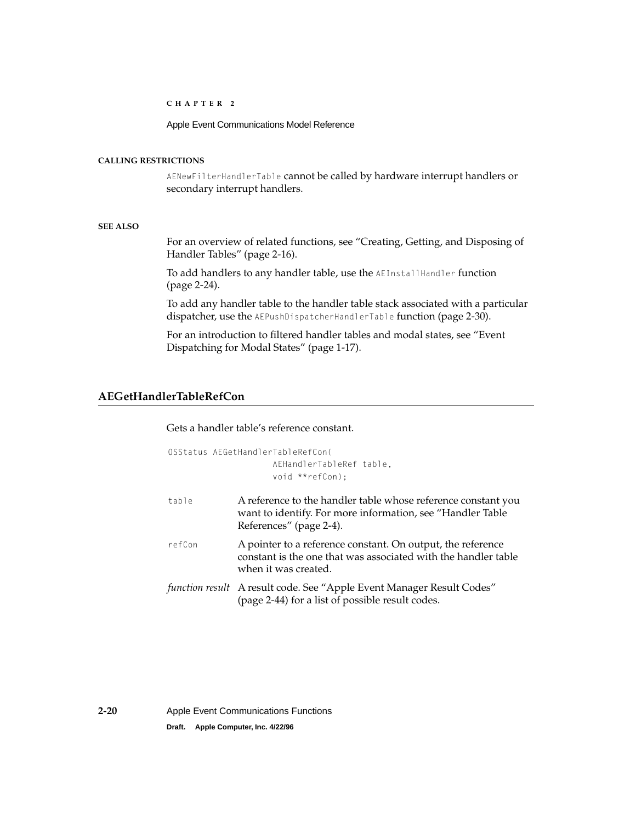Apple Event Communications Model Reference

## <span id="page-41-0"></span>**CALLING RESTRICTIONS**

AENewFilterHandlerTable cannot be called by hardware interrupt handlers or secondary interrupt handlers.

## **SEE ALSO**

For an overview of related functions, see ["Creating, Getting, and Disposing of](#page-37-0)  [Handler Tables" \(page 2-16\).](#page-37-0)

To add handlers to any handler table, use the AEInstallHandler function [\(page 2-24\)](#page-45-0).

To add any handler table to the handler table stack associated with a particular dispatcher, use the AEPushDispatcherHandlerTable function [\(page 2-30\)](#page-51-0).

For an introduction to filtered handler tables and modal states, see ["Event](#page-20-0)  [Dispatching for Modal States" \(page 1-17\)](#page-20-0).

## **AEGetHandlerTableRefCon 2**

Gets a handler table's reference constant.

|        | OSStatus AEGetHandlerTableRefCon(<br>AEHandlerTableRef table.<br>void **refCon):                                                                       |
|--------|--------------------------------------------------------------------------------------------------------------------------------------------------------|
| table  | A reference to the handler table whose reference constant you<br>want to identify. For more information, see "Handler Table<br>References" (page 2-4). |
| refCon | A pointer to a reference constant. On output, the reference<br>constant is the one that was associated with the handler table<br>when it was created.  |
|        | function result A result code. See "Apple Event Manager Result Codes"<br>(page 2-44) for a list of possible result codes.                              |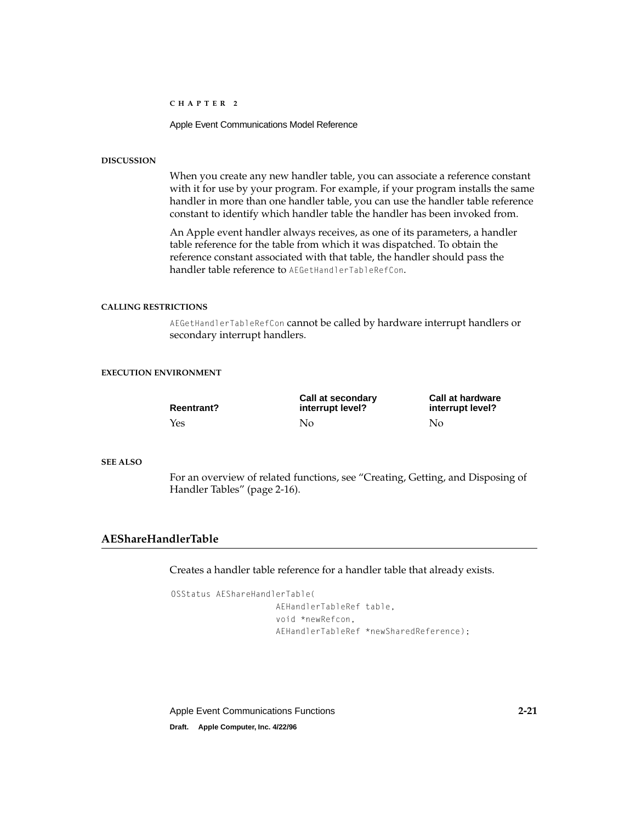Apple Event Communications Model Reference

## <span id="page-42-0"></span>**DISCUSSION**

When you create any new handler table, you can associate a reference constant with it for use by your program. For example, if your program installs the same handler in more than one handler table, you can use the handler table reference constant to identify which handler table the handler has been invoked from.

An Apple event handler always receives, as one of its parameters, a handler table reference for the table from which it was dispatched. To obtain the reference constant associated with that table, the handler should pass the handler table reference to AEGetHandlerTableRefCon.

## **CALLING RESTRICTIONS**

AEGetHandlerTableRefCon cannot be called by hardware interrupt handlers or secondary interrupt handlers.

## **EXECUTION ENVIRONMENT**

| <b>Reentrant?</b> | Call at secondary<br>interrupt level? | <b>Call at hardware</b><br>interrupt level? |
|-------------------|---------------------------------------|---------------------------------------------|
| Yes               | No                                    | No                                          |

### **SEE ALSO**

For an overview of related functions, see ["Creating, Getting, and Disposing of](#page-37-0)  [Handler Tables" \(page 2-16\).](#page-37-0)

## **AEShareHandlerTable 2**

Creates a handler table reference for a handler table that already exists.

```
OSStatus AEShareHandlerTable(
                     AEHandlerTableRef table,
                     void *newRefcon,
                     AEHandlerTableRef *newSharedReference);
```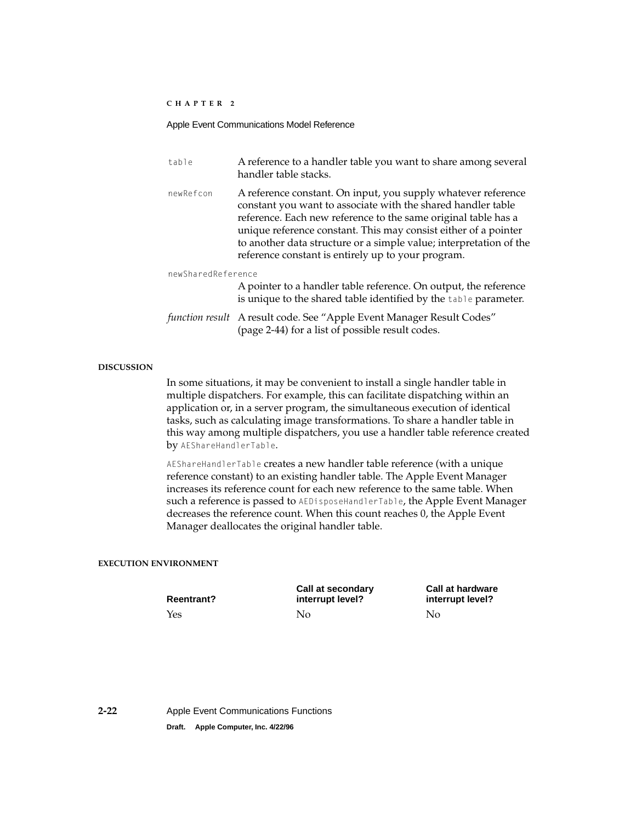### Apple Event Communications Model Reference

| table              | A reference to a handler table you want to share among several<br>handler table stacks.                                                                                                                                                                                                                                                                                                        |
|--------------------|------------------------------------------------------------------------------------------------------------------------------------------------------------------------------------------------------------------------------------------------------------------------------------------------------------------------------------------------------------------------------------------------|
| newRefcon          | A reference constant. On input, you supply whatever reference<br>constant you want to associate with the shared handler table<br>reference. Each new reference to the same original table has a<br>unique reference constant. This may consist either of a pointer<br>to another data structure or a simple value; interpretation of the<br>reference constant is entirely up to your program. |
| newSharedReference |                                                                                                                                                                                                                                                                                                                                                                                                |
|                    | A pointer to a handler table reference. On output, the reference<br>is unique to the shared table identified by the table parameter.                                                                                                                                                                                                                                                           |
|                    | function result A result code. See "Apple Event Manager Result Codes"<br>(page 2-44) for a list of possible result codes.                                                                                                                                                                                                                                                                      |

## **DISCUSSION**

In some situations, it may be convenient to install a single handler table in multiple dispatchers. For example, this can facilitate dispatching within an application or, in a server program, the simultaneous execution of identical tasks, such as calculating image transformations. To share a handler table in this way among multiple dispatchers, you use a handler table reference created by AEShareHandlerTable.

AEShareHandlerTable creates a new handler table reference (with a unique reference constant) to an existing handler table. The Apple Event Manager increases its reference count for each new reference to the same table. When such a reference is passed to AEDisposeHandlerTable, the Apple Event Manager decreases the reference count. When this count reaches 0, the Apple Event Manager deallocates the original handler table.

#### **EXECUTION ENVIRONMENT**

**Reentrant?** Yes No No

**Call at secondary interrupt level?**

**Call at hardware interrupt level?**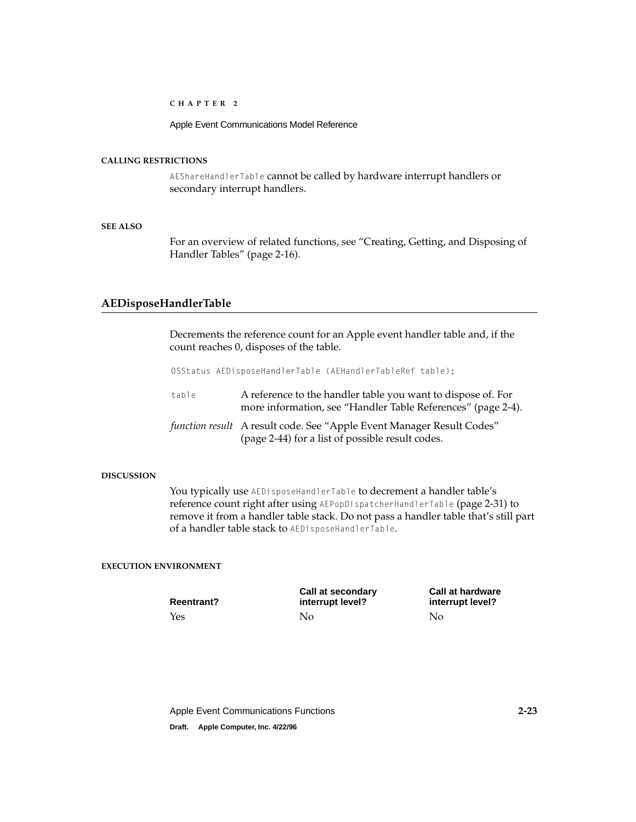Apple Event Communications Model Reference

## <span id="page-44-0"></span>**CALLING RESTRICTIONS**

AEShareHandlerTable cannot be called by hardware interrupt handlers or secondary interrupt handlers.

## **SEE ALSO**

For an overview of related functions, see ["Creating, Getting, and Disposing of](#page-37-0)  [Handler Tables" \(page 2-16\).](#page-37-0)

## **AEDisposeHandlerTable 2**

Decrements the reference count for an Apple event handler table and, if the count reaches 0, disposes of the table.

OSStatus AEDisposeHandlerTable (AEHandlerTableRef table);

table A reference to the handler table you want to dispose of. For more information, see ["Handler Table References" \(page 2-4\)](#page-25-0). *function result* A result code. See ["Apple Event Manager Result Codes"](#page-65-0)  [\(page 2-44\)](#page-65-0) for a list of possible result codes.

#### **DISCUSSION**

You typically use AEDisposeHandlerTable to decrement a handler table's reference count right after using AEPopDispatcherHandlerTable [\(page 2-31\)](#page-52-0) to remove it from a handler table stack. Do not pass a handler table that's still part of a handler table stack to AEDisposeHandlerTable.

## **EXECUTION ENVIRONMENT**

| <b>Reentrant?</b> | Call at secondary<br>interrupt level? | <b>Call at hardware</b><br>interrupt level? |
|-------------------|---------------------------------------|---------------------------------------------|
| Yes               | Nο                                    | No                                          |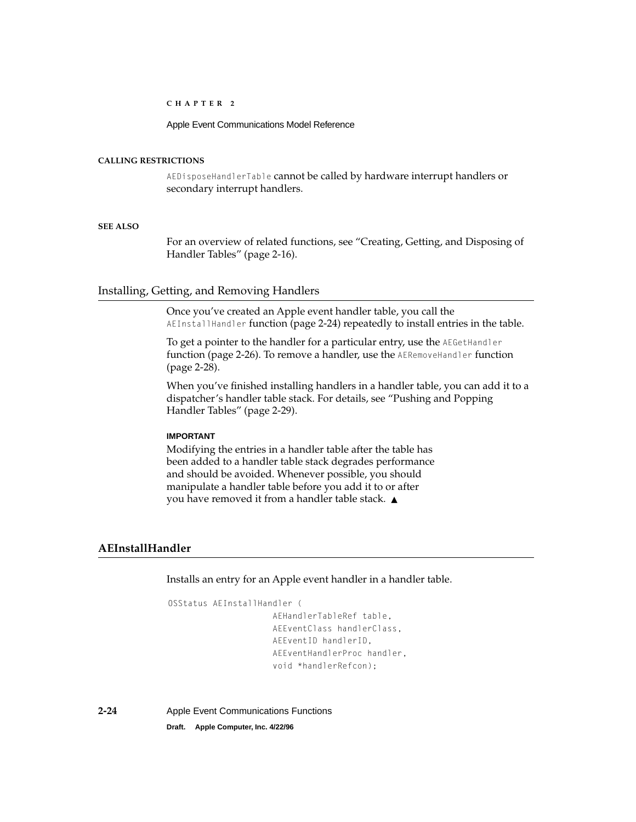Apple Event Communications Model Reference

## <span id="page-45-0"></span>**CALLING RESTRICTIONS**

AEDisposeHandlerTable cannot be called by hardware interrupt handlers or secondary interrupt handlers.

## **SEE ALSO**

For an overview of related functions, see ["Creating, Getting, and Disposing of](#page-37-0)  [Handler Tables" \(page 2-16\).](#page-37-0)

## Installing, Getting, and Removing Handlers 2

Once you've created an Apple event handler table, you call the AEInstallHandler function (page 2-24) repeatedly to install entries in the table.

To get a pointer to the handler for a particular entry, use the AEGetHandler function [\(page 2-26\).](#page-47-0) To remove a handler, use the AERemoveHandler function [\(page 2-28\)](#page-49-0).

When you've finished installing handlers in a handler table, you can add it to a dispatcher's handler table stack. For details, see ["Pushing and Popping](#page-50-0)  [Handler Tables" \(page 2-29\).](#page-50-0)

## **IMPORTANT**

Modifying the entries in a handler table after the table has been added to a handler table stack degrades performance and should be avoided. Whenever possible, you should manipulate a handler table before you add it to or after you have removed it from a handler table stack. ▲

## **AEInstallHandler 2**

Installs an entry for an Apple event handler in a handler table.

```
OSStatus AEInstallHandler (
                     AEHandlerTableRef table,
                     AEEventClass handlerClass,
                     AEEventID handlerID,
                     AEEventHandlerProc handler,
                     void *handlerRefcon);
```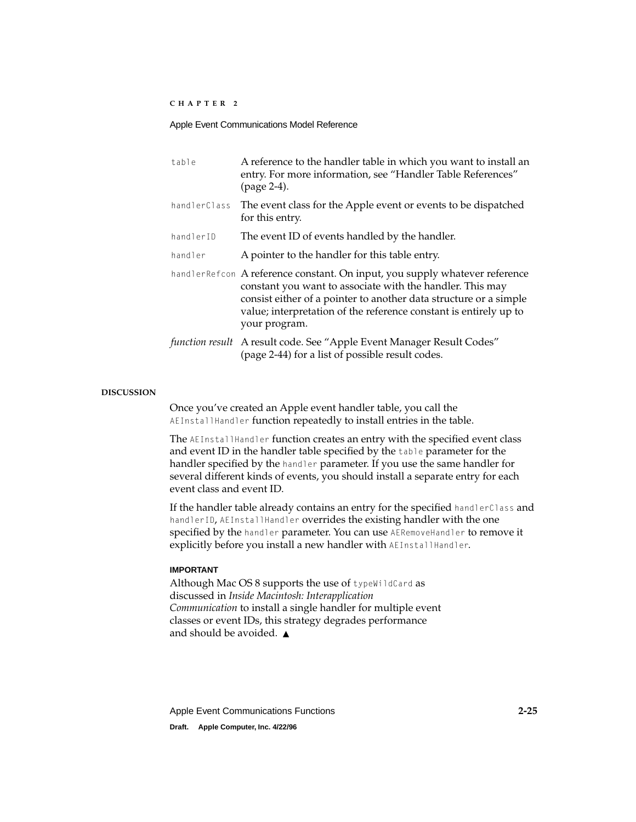| table        | A reference to the handler table in which you want to install an<br>entry. For more information, see "Handler Table References"<br>(page 2-4).                                                                                                                                                      |
|--------------|-----------------------------------------------------------------------------------------------------------------------------------------------------------------------------------------------------------------------------------------------------------------------------------------------------|
| handlerClass | The event class for the Apple event or events to be dispatched<br>for this entry.                                                                                                                                                                                                                   |
| handlerID    | The event ID of events handled by the handler.                                                                                                                                                                                                                                                      |
| handler      | A pointer to the handler for this table entry.                                                                                                                                                                                                                                                      |
|              | handlerRefcon A reference constant. On input, you supply whatever reference<br>constant you want to associate with the handler. This may<br>consist either of a pointer to another data structure or a simple<br>value; interpretation of the reference constant is entirely up to<br>your program. |
|              | function result A result code. See "Apple Event Manager Result Codes"<br>(page 2-44) for a list of possible result codes.                                                                                                                                                                           |

## **DISCUSSION**

Once you've created an Apple event handler table, you call the AEInstallHandler function repeatedly to install entries in the table.

The AEInstallHandler function creates an entry with the specified event class and event ID in the handler table specified by the table parameter for the handler specified by the handler parameter. If you use the same handler for several different kinds of events, you should install a separate entry for each event class and event ID.

If the handler table already contains an entry for the specified handlerClass and handlerID, AEInstallHandler overrides the existing handler with the one specified by the handler parameter. You can use AERemoveHandler to remove it explicitly before you install a new handler with AEInstallHandler.

## **IMPORTANT**

Although Mac OS 8 supports the use of typeWildCard as discussed in *Inside Macintosh: Interapplication Communication* to install a single handler for multiple event classes or event IDs, this strategy degrades performance and should be avoided. ▲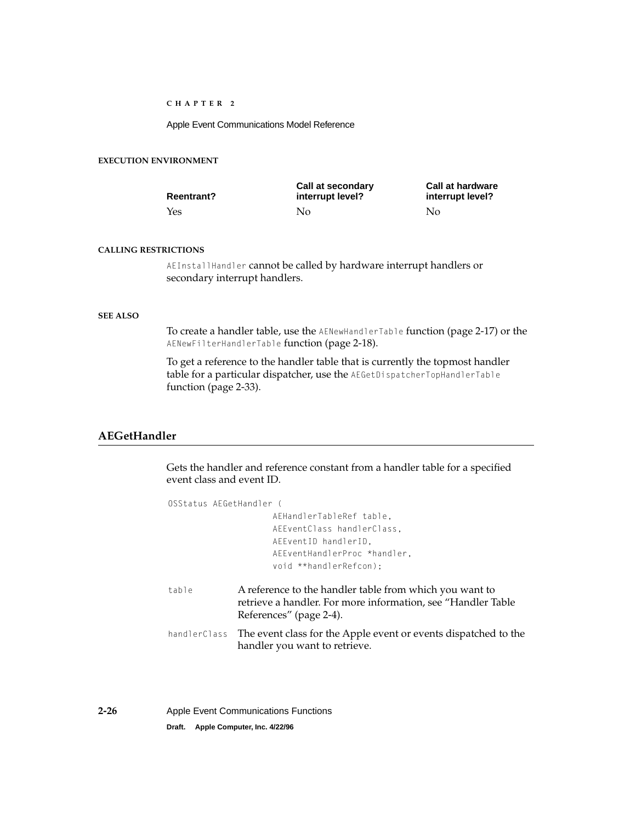Apple Event Communications Model Reference

## <span id="page-47-0"></span>**EXECUTION ENVIRONMENT**

| <b>Reentrant?</b> | Call at secondary<br>interrupt level? | <b>Call at hardware</b><br>interrupt level? |
|-------------------|---------------------------------------|---------------------------------------------|
| Yes               | Nο                                    | No                                          |

## **CALLING RESTRICTIONS**

AEInstallHandler cannot be called by hardware interrupt handlers or secondary interrupt handlers.

## **SEE ALSO**

To create a handler table, use the AENewHandlerTable function [\(page 2-17\)](#page-38-0) or the AENewFilterHandlerTable function [\(page 2-18\).](#page-39-0)

To get a reference to the handler table that is currently the topmost handler table for a particular dispatcher, use the AEGetDispatcherTopHandlerTable function [\(page 2-33\).](#page-54-0)

## **AEGetHandler 2**

Gets the handler and reference constant from a handler table for a specified event class and event ID.

| OSStatus AEGetHandler ( |                                                                                                                                                    |
|-------------------------|----------------------------------------------------------------------------------------------------------------------------------------------------|
|                         | AEHandlerTableRef table,                                                                                                                           |
|                         | AEEventClass handlerClass.                                                                                                                         |
|                         | AEEventID handlerID.                                                                                                                               |
|                         | AEEventHandlerProc *handler.                                                                                                                       |
|                         | void **handlerRefcon):                                                                                                                             |
| table                   | A reference to the handler table from which you want to<br>retrieve a handler. For more information, see "Handler Table<br>References" (page 2-4). |
|                         | handlerClass The event class for the Apple event or events dispatched to the<br>handler you want to retrieve.                                      |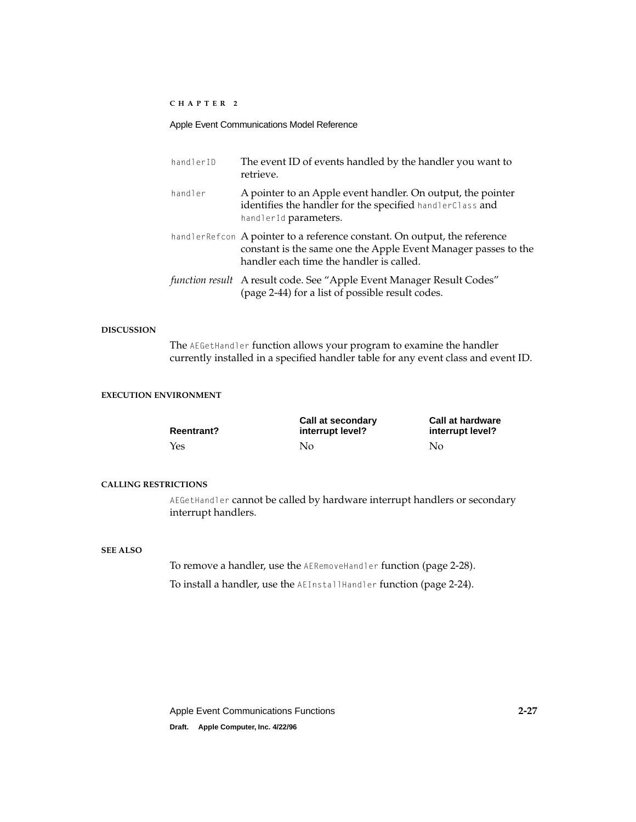## Apple Event Communications Model Reference

| handlerID | The event ID of events handled by the handler you want to<br>retrieve.                                                                                                                   |
|-----------|------------------------------------------------------------------------------------------------------------------------------------------------------------------------------------------|
| handler   | A pointer to an Apple event handler. On output, the pointer<br>identifies the handler for the specified handlerClass and<br>handlerId parameters.                                        |
|           | handler Refcon A pointer to a reference constant. On output, the reference<br>constant is the same one the Apple Event Manager passes to the<br>handler each time the handler is called. |
|           | function result A result code. See "Apple Event Manager Result Codes"<br>(page 2-44) for a list of possible result codes.                                                                |

## **DISCUSSION**

The AEGetHandler function allows your program to examine the handler currently installed in a specified handler table for any event class and event ID.

## **EXECUTION ENVIRONMENT**

| <b>Reentrant?</b> | Call at secondary<br>interrupt level? | <b>Call at hardware</b><br>interrupt level? |
|-------------------|---------------------------------------|---------------------------------------------|
| Yes               | No.                                   | No                                          |

#### **CALLING RESTRICTIONS**

AEGetHandler cannot be called by hardware interrupt handlers or secondary interrupt handlers.

## **SEE ALSO**

To remove a handler, use the AERemoveHandler function [\(page 2-28\)](#page-49-0).

To install a handler, use the AEInstallHandler function [\(page 2-24\).](#page-45-0)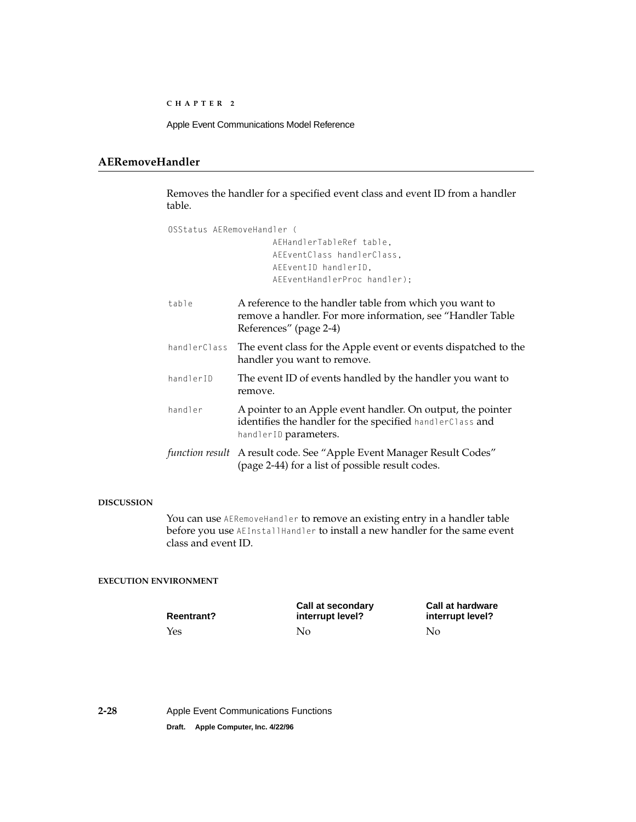## <span id="page-49-0"></span>**AERemoveHandler 2**

Removes the handler for a specified event class and event ID from a handler table.

| OSStatus AFRemoveHandler ( |                                                                                                                                                   |  |
|----------------------------|---------------------------------------------------------------------------------------------------------------------------------------------------|--|
|                            | AEHandlerTableRef table.                                                                                                                          |  |
|                            | AEEventClass handlerClass,                                                                                                                        |  |
|                            | AEEventID handlerID.                                                                                                                              |  |
|                            | AEEventHandlerProc handler);                                                                                                                      |  |
| table                      | A reference to the handler table from which you want to<br>remove a handler. For more information, see "Handler Table"<br>References" (page 2-4)  |  |
| handlerClass               | The event class for the Apple event or events dispatched to the<br>handler you want to remove.                                                    |  |
| handlerID                  | The event ID of events handled by the handler you want to<br>remove.                                                                              |  |
| handler                    | A pointer to an Apple event handler. On output, the pointer<br>identifies the handler for the specified handlerClass and<br>handlerID parameters. |  |
|                            | function result A result code. See "Apple Event Manager Result Codes"<br>(page 2-44) for a list of possible result codes.                         |  |

## **DISCUSSION**

You can use AERemoveHandler to remove an existing entry in a handler table before you use AEInstallHandler to install a new handler for the same event class and event ID.

## **EXECUTION ENVIRONMENT**

**Reentrant?** Yes No No

**Call at secondary interrupt level?**

**Call at hardware interrupt level?**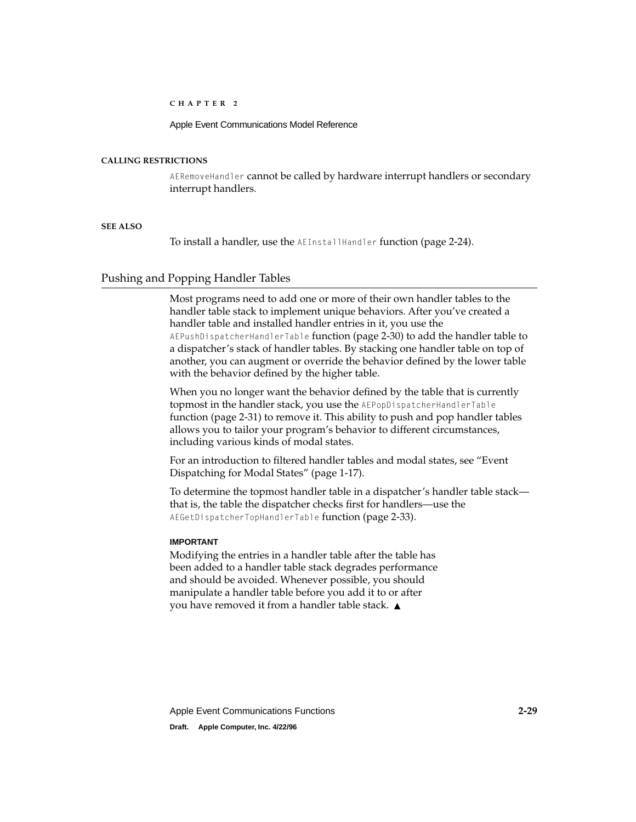Apple Event Communications Model Reference

### <span id="page-50-0"></span>**CALLING RESTRICTIONS**

AERemoveHandler cannot be called by hardware interrupt handlers or secondary interrupt handlers.

## **SEE ALSO**

To install a handler, use the AEInstallHandler function [\(page 2-24\).](#page-45-0)

## Pushing and Popping Handler Tables 2

Most programs need to add one or more of their own handler tables to the handler table stack to implement unique behaviors. After you've created a handler table and installed handler entries in it, you use the AEPushDispatcherHandlerTable function [\(page 2-30\)](#page-51-0) to add the handler table to a dispatcher's stack of handler tables. By stacking one handler table on top of another, you can augment or override the behavior defined by the lower table with the behavior defined by the higher table.

When you no longer want the behavior defined by the table that is currently topmost in the handler stack, you use the AEPopDispatcherHandlerTable function [\(page 2-31\)](#page-52-0) to remove it. This ability to push and pop handler tables allows you to tailor your program's behavior to different circumstances, including various kinds of modal states.

For an introduction to filtered handler tables and modal states, see ["Event](#page-20-0)  [Dispatching for Modal States" \(page 1-17\)](#page-20-0).

To determine the topmost handler table in a dispatcher's handler table stack that is, the table the dispatcher checks first for handlers—use the AEGetDispatcherTopHandlerTable function [\(page 2-33\)](#page-54-0).

## **IMPORTANT**

Modifying the entries in a handler table after the table has been added to a handler table stack degrades performance and should be avoided. Whenever possible, you should manipulate a handler table before you add it to or after you have removed it from a handler table stack. ▲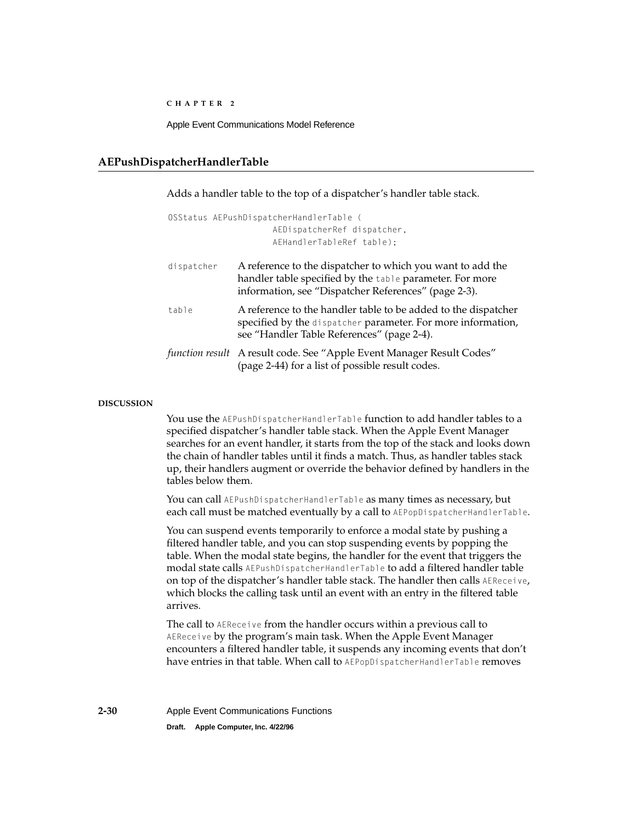Apple Event Communications Model Reference

## <span id="page-51-0"></span>**AEPushDispatcherHandlerTable 2**

Adds a handler table to the top of a dispatcher's handler table stack.

|            | OSStatus AEPushDispatcherHandlerTable (                                                                                                                                        |
|------------|--------------------------------------------------------------------------------------------------------------------------------------------------------------------------------|
|            | AEDispatcherRef dispatcher,                                                                                                                                                    |
|            | AEHandlerTableRef table);                                                                                                                                                      |
| dispatcher | A reference to the dispatcher to which you want to add the<br>handler table specified by the table parameter. For more<br>information, see "Dispatcher References" (page 2-3). |

table A reference to the handler table to be added to the dispatcher specified by the dispatcher parameter. For more information, see ["Handler Table References" \(page 2-4\)](#page-25-0).

*function result* A result code. See ["Apple Event Manager Result Codes"](#page-65-0)  [\(page 2-44\)](#page-65-0) for a list of possible result codes.

## **DISCUSSION**

You use the AEPushDispatcherHandlerTable function to add handler tables to a specified dispatcher's handler table stack. When the Apple Event Manager searches for an event handler, it starts from the top of the stack and looks down the chain of handler tables until it finds a match. Thus, as handler tables stack up, their handlers augment or override the behavior defined by handlers in the tables below them.

You can call AEPushDispatcherHandlerTable as many times as necessary, but each call must be matched eventually by a call to AEPopDispatcherHandlerTable.

You can suspend events temporarily to enforce a modal state by pushing a filtered handler table, and you can stop suspending events by popping the table. When the modal state begins, the handler for the event that triggers the modal state calls AEPushDispatcherHandlerTable to add a filtered handler table on top of the dispatcher's handler table stack. The handler then calls AEReceive, which blocks the calling task until an event with an entry in the filtered table arrives.

The call to AEReceive from the handler occurs within a previous call to AEReceive by the program's main task. When the Apple Event Manager encounters a filtered handler table, it suspends any incoming events that don't have entries in that table. When call to AEPopDispatcherHandlerTable removes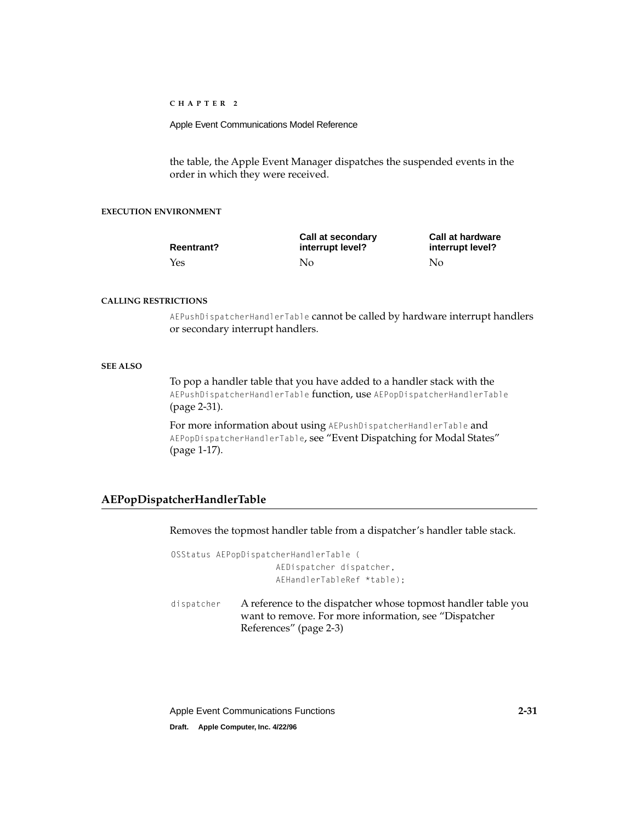<span id="page-52-0"></span>Apple Event Communications Model Reference

the table, the Apple Event Manager dispatches the suspended events in the order in which they were received.

## **EXECUTION ENVIRONMENT**

| <b>Reentrant?</b> | Call at secondary<br>interrupt level? | <b>Call at hardware</b><br>interrupt level? |
|-------------------|---------------------------------------|---------------------------------------------|
| Yes               | Nο                                    | No                                          |

#### **CALLING RESTRICTIONS**

AEPushDispatcherHandlerTable cannot be called by hardware interrupt handlers or secondary interrupt handlers.

#### **SEE ALSO**

To pop a handler table that you have added to a handler stack with the AEPushDispatcherHandlerTable function, use AEPopDispatcherHandlerTable (page 2-31).

For more information about using AEPushDispatcherHandlerTable and AEPopDispatcherHandlerTable, see ["Event Dispatching for Modal States"](#page-20-0)  [\(page 1-17\)](#page-20-0).

## **AEPopDispatcherHandlerTable 2**

Removes the topmost handler table from a dispatcher's handler table stack.

```
OSStatus AEPopDispatcherHandlerTable (
                     AEDispatcher dispatcher, 
                     AEHandlerTableRef *table);
```
dispatcher A reference to the dispatcher whose topmost handler table you want to remove. For more information, see ["Dispatcher](#page-24-0)  [References" \(page 2-3\)](#page-24-0)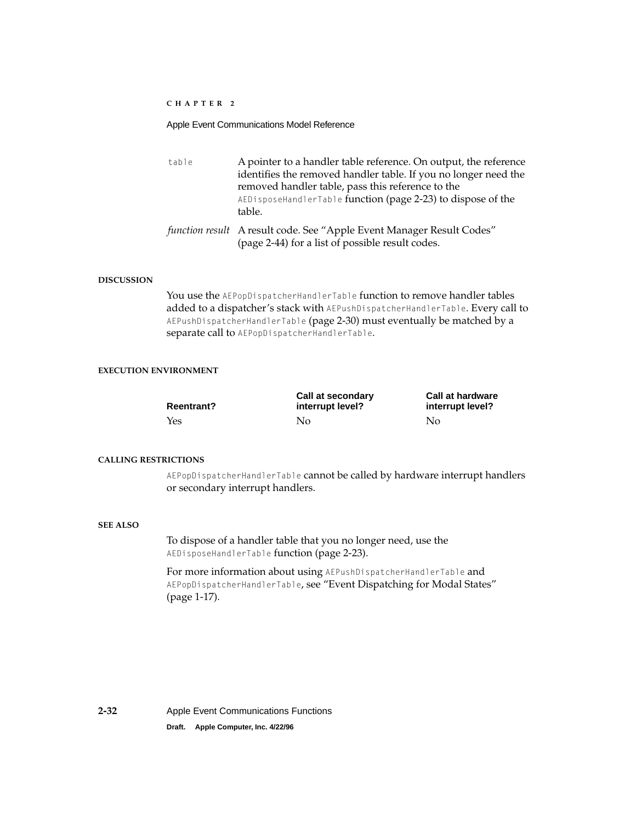## Apple Event Communications Model Reference

| table | A pointer to a handler table reference. On output, the reference<br>identifies the removed handler table. If you no longer need the<br>removed handler table, pass this reference to the<br>AEDisposeHandlerTable function (page 2-23) to dispose of the<br>table. |  |
|-------|--------------------------------------------------------------------------------------------------------------------------------------------------------------------------------------------------------------------------------------------------------------------|--|
|       | function result A result code. See "Apple Event Manager Result Codes"<br>(page 2-44) for a list of possible result codes.                                                                                                                                          |  |

#### **DISCUSSION**

You use the AEPopDispatcherHandlerTable function to remove handler tables added to a dispatcher's stack with AEPushDispatcherHandlerTable. Every call to AEPushDispatcherHandlerTable [\(page 2-30\)](#page-51-0) must eventually be matched by a separate call to AEPopDispatcherHandlerTable.

## **EXECUTION ENVIRONMENT**

| <b>Reentrant?</b> | Call at secondary<br>interrupt level? | <b>Call at hardware</b><br>interrupt level? |
|-------------------|---------------------------------------|---------------------------------------------|
| Yes               | Nο                                    | No.                                         |

## **CALLING RESTRICTIONS**

AEPopDispatcherHandlerTable cannot be called by hardware interrupt handlers or secondary interrupt handlers.

## **SEE ALSO**

To dispose of a handler table that you no longer need, use the AEDisposeHandlerTable function [\(page 2-23\)](#page-44-0).

For more information about using AEPushDispatcherHandlerTable and AEPopDispatcherHandlerTable, see "Event Dispatching for Modal States" [\(page 1-17\)](#page-20-0).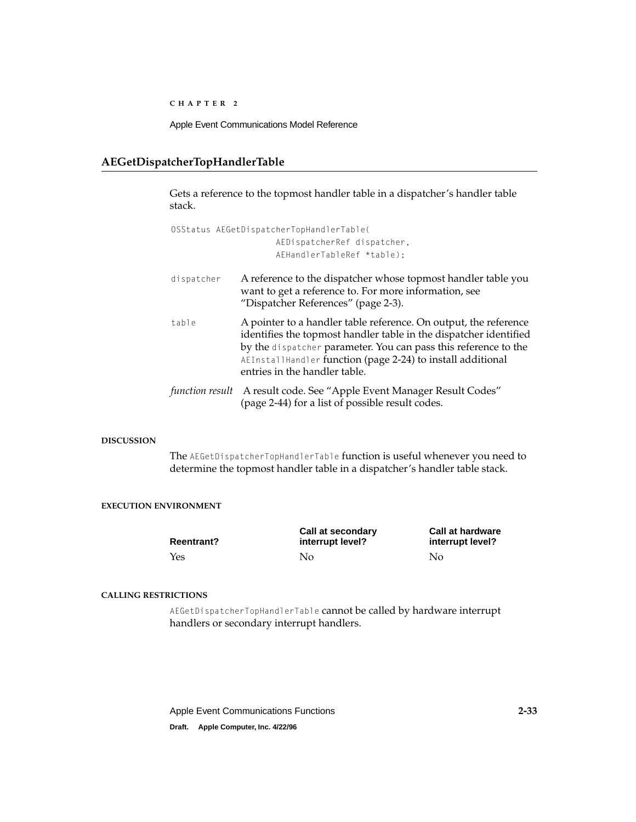Apple Event Communications Model Reference

## <span id="page-54-0"></span>**AEGetDispatcherTopHandlerTable 2**

Gets a reference to the topmost handler table in a dispatcher's handler table stack.

OSStatus AEGetDispatcherTopHandlerTable( AEDispatcherRef dispatcher, AEHandlerTableRef \*table);

- dispatcher A reference to the dispatcher whose topmost handler table you want to get a reference to. For more information, see ["Dispatcher References" \(page 2-3\)](#page-24-0).
- table A pointer to a handler table reference. On output, the reference identifies the topmost handler table in the dispatcher identified by the dispatcher parameter. You can pass this reference to the AEInstallHandler function [\(page 2-24\)](#page-45-0) to install additional entries in the handler table.
- *function result* A result code. See ["Apple Event Manager Result Codes"](#page-65-0)  [\(page 2-44\)](#page-65-0) for a list of possible result codes.

## **DISCUSSION**

The AEGetDispatcherTopHandlerTable function is useful whenever you need to determine the topmost handler table in a dispatcher's handler table stack.

## **EXECUTION ENVIRONMENT**

| <b>Reentrant?</b> | Call at secondary<br>interrupt level? | <b>Call at hardware</b><br>interrupt level? |
|-------------------|---------------------------------------|---------------------------------------------|
| Yes               | Nο                                    | Nο                                          |

## **CALLING RESTRICTIONS**

AEGetDispatcherTopHandlerTable cannot be called by hardware interrupt handlers or secondary interrupt handlers.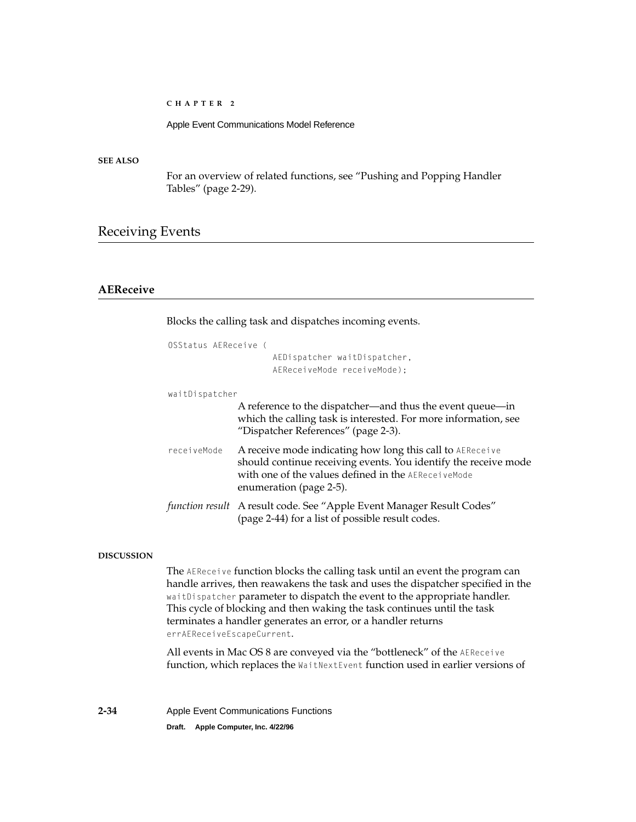Apple Event Communications Model Reference

## <span id="page-55-0"></span>**SEE ALSO**

For an overview of related functions, see ["Pushing and Popping Handler](#page-50-0)  [Tables" \(page 2-29\).](#page-50-0)

## Receiving Events

## **AEReceive 2**

Blocks the calling task and dispatches incoming events.

| OSStatus AFReceive ( | AEDispatcher waitDispatcher,<br>AEReceiveMode receiveMode):                                                                                                                                                    |
|----------------------|----------------------------------------------------------------------------------------------------------------------------------------------------------------------------------------------------------------|
| waitDispatcher       |                                                                                                                                                                                                                |
|                      | A reference to the dispatcher—and thus the event queue—in<br>which the calling task is interested. For more information, see<br>"Dispatcher References" (page 2-3).                                            |
| receiveMode          | A receive mode indicating how long this call to AEReceive<br>should continue receiving events. You identify the receive mode<br>with one of the values defined in the AEReceiveMode<br>enumeration (page 2-5). |
|                      | function result A result code. See "Apple Event Manager Result Codes"<br>(page 2-44) for a list of possible result codes.                                                                                      |

#### **DISCUSSION**

The AEReceive function blocks the calling task until an event the program can handle arrives, then reawakens the task and uses the dispatcher specified in the waitDispatcher parameter to dispatch the event to the appropriate handler. This cycle of blocking and then waking the task continues until the task terminates a handler generates an error, or a handler returns errAEReceiveEscapeCurrent.

All events in Mac OS 8 are conveyed via the "bottleneck" of the AEReceive function, which replaces the WaitNextEvent function used in earlier versions of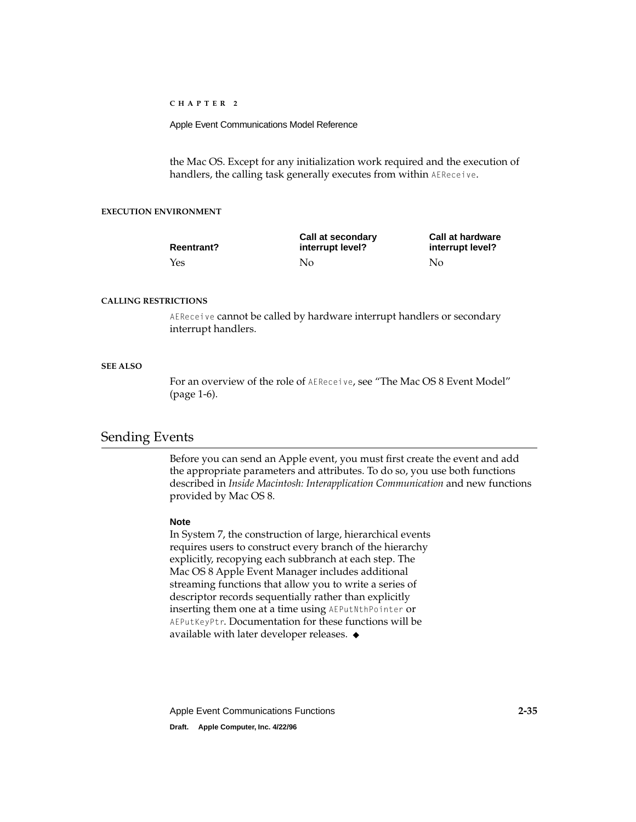<span id="page-56-0"></span>Apple Event Communications Model Reference

the Mac OS. Except for any initialization work required and the execution of handlers, the calling task generally executes from within AEReceive.

## **EXECUTION ENVIRONMENT**

| <b>Reentrant?</b> | Call at secondary<br>interrupt level? | <b>Call at hardware</b><br>interrupt level? |
|-------------------|---------------------------------------|---------------------------------------------|
| Yes               | No.                                   | No                                          |

## **CALLING RESTRICTIONS**

AEReceive cannot be called by hardware interrupt handlers or secondary interrupt handlers.

## **SEE ALSO**

For an overview of the role of AEReceive, see ["The Mac OS 8 Event Model"](#page-9-0)  [\(page 1-6\)](#page-9-0).

## Sending Events

Before you can send an Apple event, you must first create the event and add the appropriate parameters and attributes. To do so, you use both functions described in *Inside Macintosh: Interapplication Communication* and new functions provided by Mac OS 8.

## **Note**

In System 7, the construction of large, hierarchical events requires users to construct every branch of the hierarchy explicitly, recopying each subbranch at each step. The Mac OS 8 Apple Event Manager includes additional streaming functions that allow you to write a series of descriptor records sequentially rather than explicitly inserting them one at a time using AEPutNthPointer or AEPutKeyPtr. Documentation for these functions will be available with later developer releases. ◆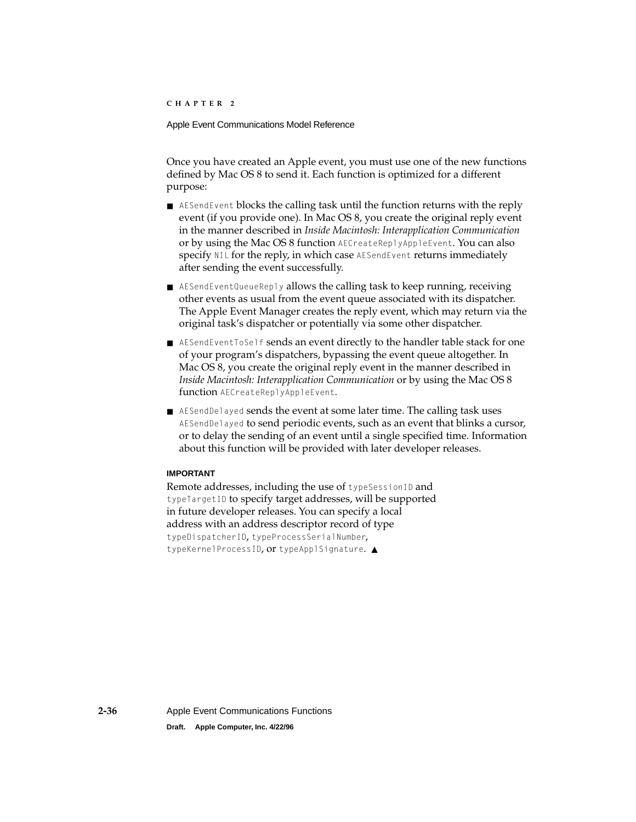Once you have created an Apple event, you must use one of the new functions defined by Mac OS 8 to send it. Each function is optimized for a different purpose:

- AESendEvent blocks the calling task until the function returns with the reply event (if you provide one). In Mac OS 8, you create the original reply event in the manner described in *Inside Macintosh: Interapplication Communication* or by using the Mac OS 8 function AECreateReplyAppleEvent. You can also specify NIL for the reply, in which case AESendEvent returns immediately after sending the event successfully.
- AESendEventQueueReply allows the calling task to keep running, receiving other events as usual from the event queue associated with its dispatcher. The Apple Event Manager creates the reply event, which may return via the original task's dispatcher or potentially via some other dispatcher.
- AESendEventToSe1f sends an event directly to the handler table stack for one of your program's dispatchers, bypassing the event queue altogether. In Mac OS 8, you create the original reply event in the manner described in *Inside Macintosh: Interapplication Communication* or by using the Mac OS 8 function AECreateReplyAppleEvent.
- AESendDelayed sends the event at some later time. The calling task uses AESendDelayed to send periodic events, such as an event that blinks a cursor, or to delay the sending of an event until a single specified time. Information about this function will be provided with later developer releases.

## **IMPORTANT**

Remote addresses, including the use of typeSessionID and typeTargetID to specify target addresses, will be supported in future developer releases. You can specify a local address with an address descriptor record of type typeDispatcherID, typeProcessSerialNumber, typeKernelProcessID, or typeApplSignature. ▲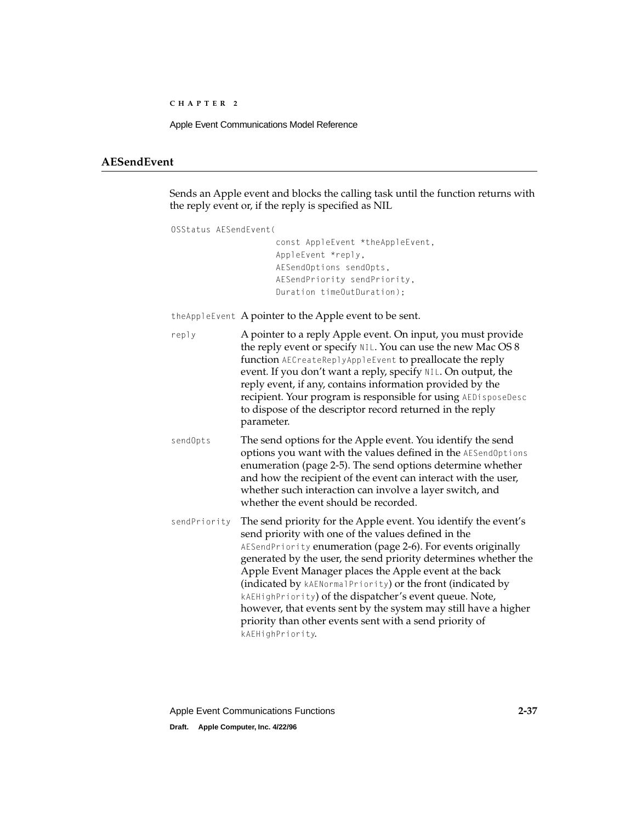## <span id="page-58-0"></span>**AESendEvent 2**

Sends an Apple event and blocks the calling task until the function returns with the reply event or, if the reply is specified as NIL

```
OSStatus AESendEvent(
```
const AppleEvent \*theAppleEvent, AppleEvent \*reply, AESendOptions sendOpts, AESendPriority sendPriority, Duration timeOutDuration);

theAppleEvent A pointer to the Apple event to be sent.

| reply | A pointer to a reply Apple event. On input, you must provide   |
|-------|----------------------------------------------------------------|
|       | the reply event or specify NIL. You can use the new Mac OS 8   |
|       | function AECreateReplyAppleEvent to preallocate the reply      |
|       | event. If you don't want a reply, specify NIL. On output, the  |
|       | reply event, if any, contains information provided by the      |
|       | recipient. Your program is responsible for using AEDisposeDesc |
|       | to dispose of the descriptor record returned in the reply      |
|       | parameter.                                                     |
|       |                                                                |

sendOpts The send options for the Apple event. You identify the send options you want with the values defined in the AESendOptions enumeration [\(page 2-5\).](#page-26-0) The send options determine whether and how the recipient of the event can interact with the user, whether such interaction can involve a layer switch, and whether the event should be recorded.

sendPriority The send priority for the Apple event. You identify the event's send priority with one of the values defined in the AESendPriority enumeration [\(page 2-6\).](#page-27-0) For events originally generated by the user, the send priority determines whether the Apple Event Manager places the Apple event at the back (indicated by kAENormalPriority) or the front (indicated by kAEHighPriority) of the dispatcher's event queue. Note, however, that events sent by the system may still have a higher priority than other events sent with a send priority of kAEHighPriority.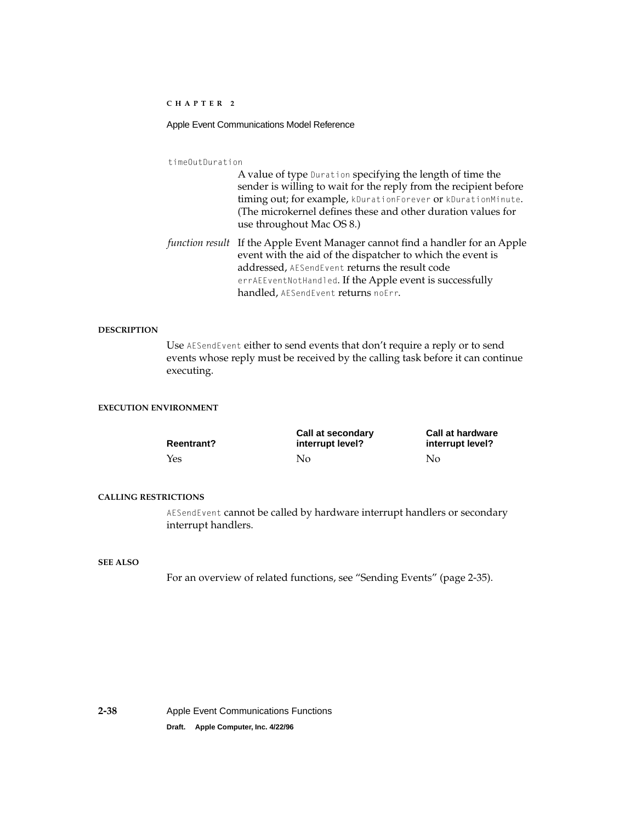## Apple Event Communications Model Reference

timeOutDuration

A value of type Duration specifying the length of time the sender is willing to wait for the reply from the recipient before timing out; for example, kDurationForever or kDurationMinute. (The microkernel defines these and other duration values for use throughout Mac OS 8.)

*function result* If the Apple Event Manager cannot find a handler for an Apple event with the aid of the dispatcher to which the event is addressed, AESendEvent returns the result code errAEEventNotHandled. If the Apple event is successfully handled, AESendEvent returns noErr.

#### **DESCRIPTION**

Use AESendEvent either to send events that don't require a reply or to send events whose reply must be received by the calling task before it can continue executing.

## **EXECUTION ENVIRONMENT**

| <b>Reentrant?</b> | Call at secondary<br>interrupt level? | <b>Call at hardware</b><br>interrupt level? |
|-------------------|---------------------------------------|---------------------------------------------|
| Yes               | No.                                   | No                                          |

#### **CALLING RESTRICTIONS**

AESendEvent cannot be called by hardware interrupt handlers or secondary interrupt handlers.

### **SEE ALSO**

For an overview of related functions, see ["Sending Events" \(page 2-35\)](#page-56-0).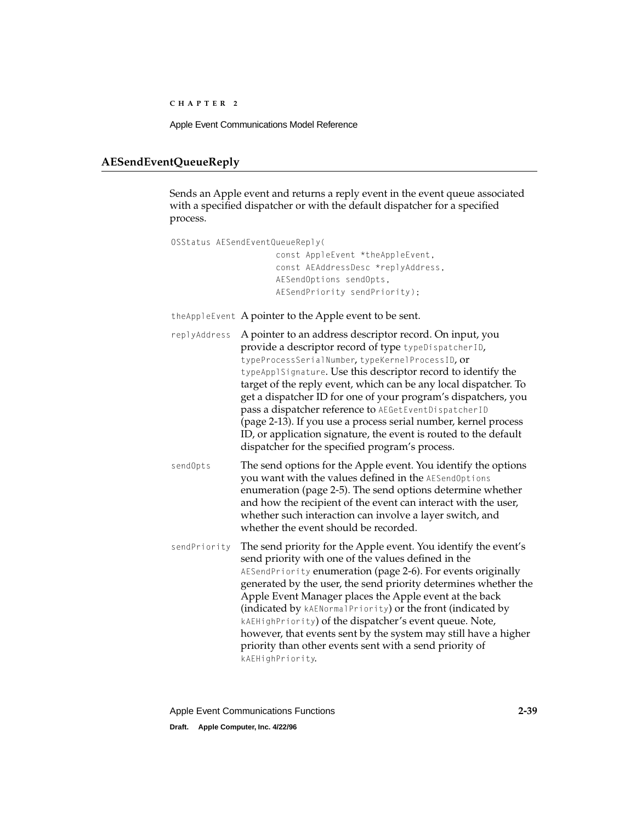Apple Event Communications Model Reference

## <span id="page-60-0"></span>**AESendEventQueueReply 2**

Sends an Apple event and returns a reply event in the event queue associated with a specified dispatcher or with the default dispatcher for a specified process.

```
OSStatus AESendEventQueueReply(
                      const AppleEvent *theAppleEvent, 
                      const AEAddressDesc *replyAddress,
                      AESendOptions sendOpts, 
                      AESendPriority sendPriority);
theAppleEvent A pointer to the Apple event to be sent.
replyAddress A pointer to an address descriptor record. On input, you
               provide a descriptor record of type typeDispatcherID, 
               typeProcessSerialNumber, typeKernelProcessID, or 
               typeApplSignature. Use this descriptor record to identify the 
               target of the reply event, which can be any local dispatcher. To 
               get a dispatcher ID for one of your program's dispatchers, you 
               pass a dispatcher reference to AEGetEventDispatcherID
               (page 2-13). If you use a process serial number, kernel process 
               ID, or application signature, the event is routed to the default 
               dispatcher for the specified program's process.
sendOpts The send options for the Apple event. You identify the options
               you want with the values defined in the AESendOptions
               enumeration (page 2-5). The send options determine whether 
               and how the recipient of the event can interact with the user, 
               whether such interaction can involve a layer switch, and 
               whether the event should be recorded.
sendPriority The send priority for the Apple event. You identify the event's 
              send priority with one of the values defined in the 
               AESendPriority (page 2-6). For events originally
               generated by the user, the send priority determines whether the 
               Apple Event Manager places the Apple event at the back 
               (indicated by kAENormalPriority) or the front (indicated by 
               kAEHighPriority) of the dispatcher's event queue. Note, 
               however, that events sent by the system may still have a higher 
               priority than other events sent with a send priority of 
               kAEHighPriority.
```
Apple Event Communications Functions **2-39 Draft. Apple Computer, Inc. 4/22/96**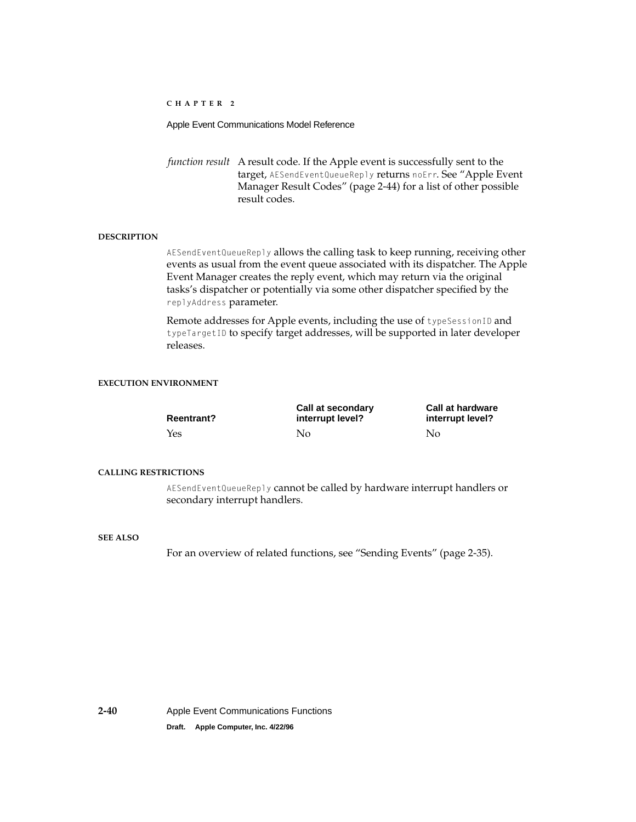Apple Event Communications Model Reference

*function result* A result code. If the Apple event is successfully sent to the target, AESendEventQueueReply returns noErr. See ["Apple Event](#page-65-0)  [Manager Result Codes" \(page 2-44\)](#page-65-0) for a list of other possible result codes.

## **DESCRIPTION**

AESendEventQueueReply allows the calling task to keep running, receiving other events as usual from the event queue associated with its dispatcher. The Apple Event Manager creates the reply event, which may return via the original tasks's dispatcher or potentially via some other dispatcher specified by the replyAddress parameter.

Remote addresses for Apple events, including the use of typeSessionID and typeTargetID to specify target addresses, will be supported in later developer releases.

## **EXECUTION ENVIRONMENT**

| <b>Reentrant?</b> | Call at secondary<br>interrupt level? | <b>Call at hardware</b><br>interrupt level? |  |
|-------------------|---------------------------------------|---------------------------------------------|--|
| Yes               | Nο                                    | No                                          |  |

#### **CALLING RESTRICTIONS**

AESendEventQueueReply cannot be called by hardware interrupt handlers or secondary interrupt handlers.

## **SEE ALSO**

For an overview of related functions, see ["Sending Events" \(page 2-35\)](#page-56-0).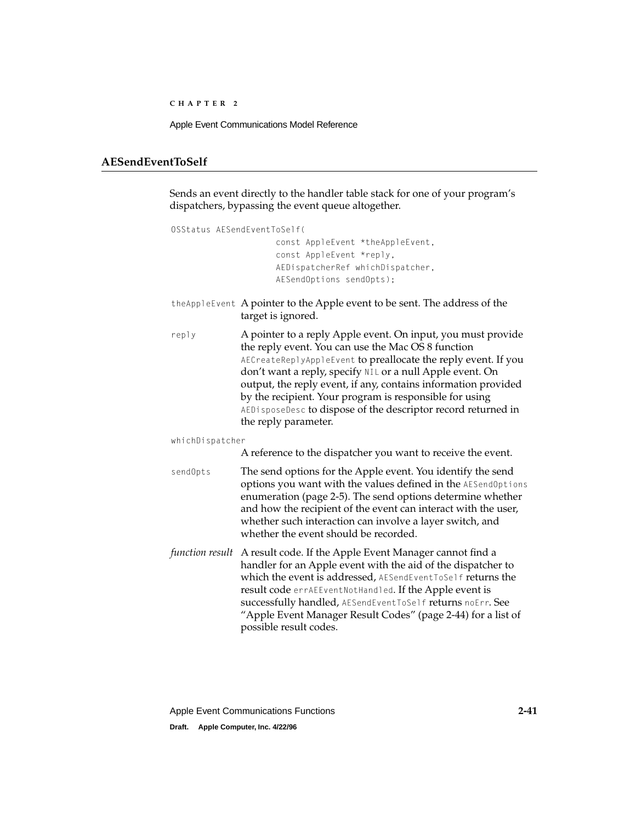## <span id="page-62-0"></span>**AESendEventToSelf 2**

Sends an event directly to the handler table stack for one of your program's dispatchers, bypassing the event queue altogether.

```
OSStatus AESendEventToSelf(
                     const AppleEvent *theAppleEvent, 
                     const AppleEvent *reply,
                     AEDispatcherRef whichDispatcher,
                     AESendOptions sendOpts);
```
- theAppleEvent A pointer to the Apple event to be sent. The address of the target is ignored.
- reply A pointer to a reply Apple event. On input, you must provide the reply event. You can use the Mac OS 8 function AECreateReplyAppleEvent **to preallocate the reply event. If you** don't want a reply, specify NIL or a null Apple event. On output, the reply event, if any, contains information provided by the recipient. Your program is responsible for using AEDisposeDesc **to dispose of the descriptor record returned in** the reply parameter.

whichDispatcher

A reference to the dispatcher you want to receive the event.

- sendOpts The send options for the Apple event. You identify the send options you want with the values defined in the AESendOptions enumeration [\(page 2-5\).](#page-26-0) The send options determine whether and how the recipient of the event can interact with the user, whether such interaction can involve a layer switch, and whether the event should be recorded.
- *function result* A result code. If the Apple Event Manager cannot find a handler for an Apple event with the aid of the dispatcher to which the event is addressed, AESendEventToSelf returns the result code errAEEventNotHandled. If the Apple event is successfully handled, AESendEventToSelf returns noErr. See ["Apple Event Manager Result Codes" \(page 2-44\)](#page-65-0) for a list of possible result codes.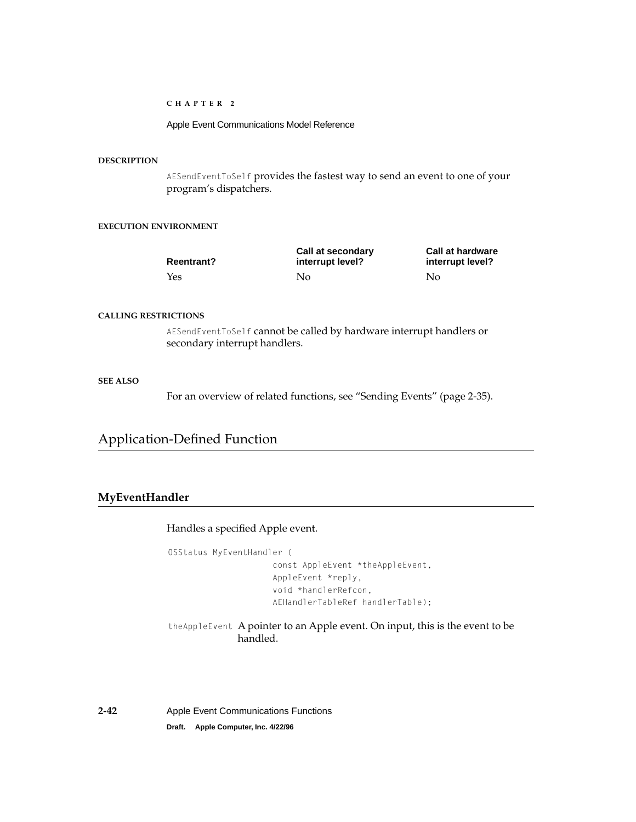Apple Event Communications Model Reference

## <span id="page-63-0"></span>**DESCRIPTION**

AESendEventToSelf provides the fastest way to send an event to one of your program's dispatchers.

## **EXECUTION ENVIRONMENT**

| <b>Reentrant?</b> | Call at secondary<br>interrupt level? | <b>Call at hardware</b><br>interrupt level? |  |
|-------------------|---------------------------------------|---------------------------------------------|--|
| Yes               | Nο                                    | No                                          |  |

## **CALLING RESTRICTIONS**

AESendEventToSelf cannot be called by hardware interrupt handlers or secondary interrupt handlers.

## **SEE ALSO**

For an overview of related functions, see ["Sending Events" \(page 2-35\)](#page-56-0).

# Application-Defined Function

## **MyEventHandler 2**

Handles a specified Apple event.

OSStatus MyEventHandler ( const AppleEvent \*theAppleEvent, AppleEvent \*reply, void \*handlerRefcon, AEHandlerTableRef handlerTable);

theAppleEvent A pointer to an Apple event. On input, this is the event to be handled.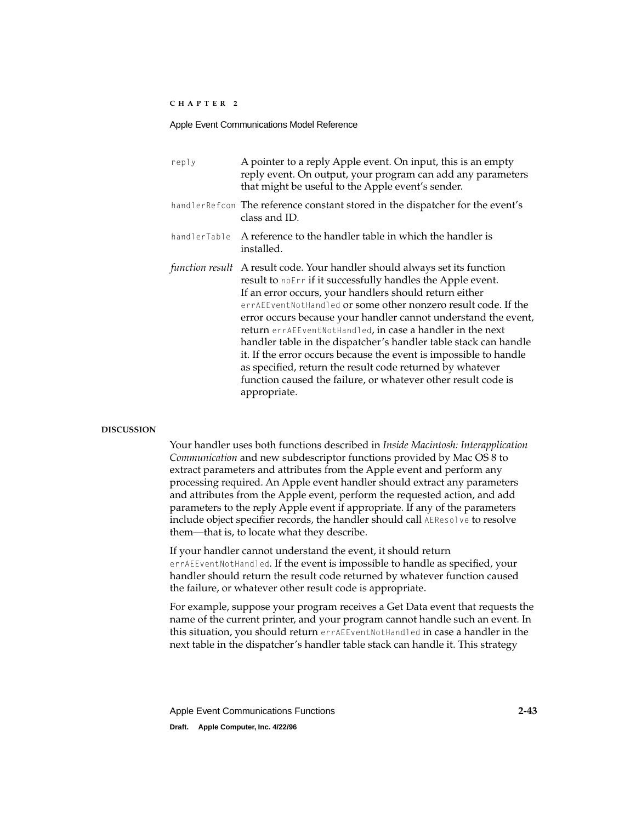| reply           | A pointer to a reply Apple event. On input, this is an empty<br>reply event. On output, your program can add any parameters<br>that might be useful to the Apple event's sender.                                                                                                                                                                                                                                                                                                                                                                                                                                                                                                    |
|-----------------|-------------------------------------------------------------------------------------------------------------------------------------------------------------------------------------------------------------------------------------------------------------------------------------------------------------------------------------------------------------------------------------------------------------------------------------------------------------------------------------------------------------------------------------------------------------------------------------------------------------------------------------------------------------------------------------|
|                 | handlerRefcon The reference constant stored in the dispatcher for the event's<br>class and ID.                                                                                                                                                                                                                                                                                                                                                                                                                                                                                                                                                                                      |
| handlerTable    | A reference to the handler table in which the handler is<br>installed.                                                                                                                                                                                                                                                                                                                                                                                                                                                                                                                                                                                                              |
| function result | A result code. Your handler should always set its function<br>result to noErr if it successfully handles the Apple event.<br>If an error occurs, your handlers should return either<br>errAEEventNotHandled or some other nonzero result code. If the<br>error occurs because your handler cannot understand the event,<br><b>return</b> errAEEventNotHandled, in case a handler in the next<br>handler table in the dispatcher's handler table stack can handle<br>it. If the error occurs because the event is impossible to handle<br>as specified, return the result code returned by whatever<br>function caused the failure, or whatever other result code is<br>appropriate. |

#### **DISCUSSION**

Your handler uses both functions described in *Inside Macintosh: Interapplication Communication* and new subdescriptor functions provided by Mac OS 8 to extract parameters and attributes from the Apple event and perform any processing required. An Apple event handler should extract any parameters and attributes from the Apple event, perform the requested action, and add parameters to the reply Apple event if appropriate. If any of the parameters include object specifier records, the handler should call AEResolve to resolve them—that is, to locate what they describe.

If your handler cannot understand the event, it should return errAEEventNotHandled. If the event is impossible to handle as specified, your handler should return the result code returned by whatever function caused the failure, or whatever other result code is appropriate.

For example, suppose your program receives a Get Data event that requests the name of the current printer, and your program cannot handle such an event. In this situation, you should return errAEEventNotHandled in case a handler in the next table in the dispatcher's handler table stack can handle it. This strategy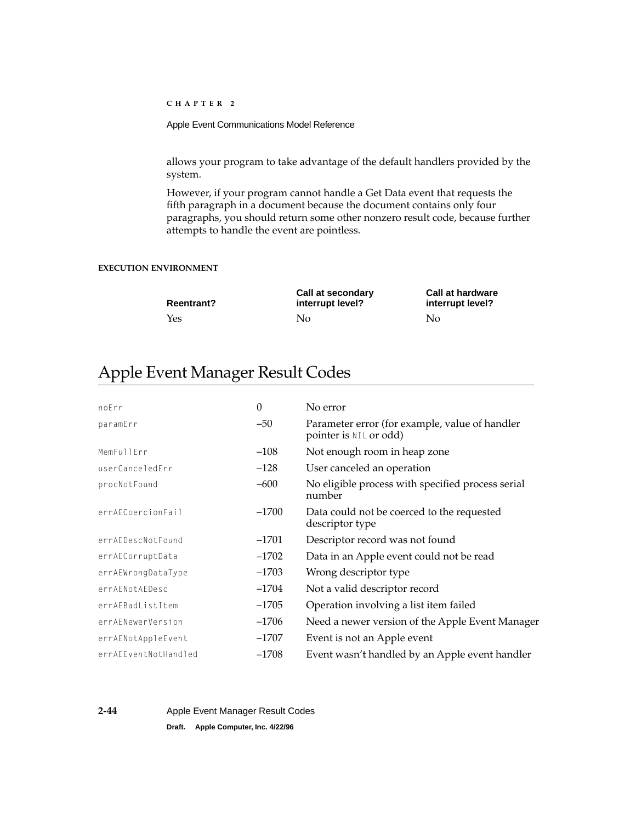<span id="page-65-0"></span>Apple Event Communications Model Reference

allows your program to take advantage of the default handlers provided by the system.

However, if your program cannot handle a Get Data event that requests the fifth paragraph in a document because the document contains only four paragraphs, you should return some other nonzero result code, because further attempts to handle the event are pointless.

## **EXECUTION ENVIRONMENT**

| <b>Reentrant?</b> | Call at secondary<br>interrupt level? | <b>Call at hardware</b><br>interrupt level? |  |
|-------------------|---------------------------------------|---------------------------------------------|--|
| Yes               | No                                    | No                                          |  |

# Apple Event Manager Result Codes 2

| noErr                | $\Omega$ | No error                                                                 |
|----------------------|----------|--------------------------------------------------------------------------|
| paramErr             | $-50$    | Parameter error (for example, value of handler<br>pointer is NIL or odd) |
| MemFullErr           | $-108$   | Not enough room in heap zone                                             |
| userCanceledErr      | $-128$   | User canceled an operation                                               |
| procNotFound         | $-600$   | No eligible process with specified process serial<br>number              |
| errAECoercionFail    | $-1700$  | Data could not be coerced to the requested<br>descriptor type            |
| errAEDescNotFound    | $-1701$  | Descriptor record was not found                                          |
| errAECorruptData     | $-1702$  | Data in an Apple event could not be read                                 |
| errAEWrongDataType   | $-1703$  | Wrong descriptor type                                                    |
| errAENotAEDesc       | $-1704$  | Not a valid descriptor record                                            |
| errAEBadListItem     | $-1705$  | Operation involving a list item failed                                   |
| errAENewerVersion    | $-1706$  | Need a newer version of the Apple Event Manager                          |
| errAENotAppleEvent   | $-1707$  | Event is not an Apple event                                              |
| errAEEventNotHandled | $-1708$  | Event wasn't handled by an Apple event handler                           |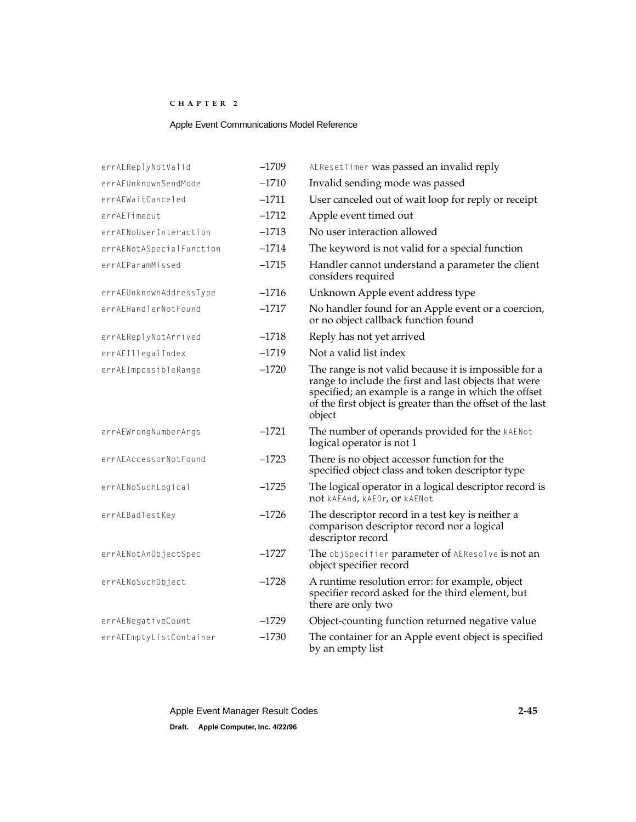## Apple Event Communications Model Reference

| errAEReplyNotValid       | $-1709$ | AEResetTimer was passed an invalid reply                                                                                                                                                                                                       |
|--------------------------|---------|------------------------------------------------------------------------------------------------------------------------------------------------------------------------------------------------------------------------------------------------|
| errAEUnknownSendMode     | $-1710$ | Invalid sending mode was passed                                                                                                                                                                                                                |
| errAEWaitCanceled        | $-1711$ | User canceled out of wait loop for reply or receipt                                                                                                                                                                                            |
| errAETimeout             | $-1712$ | Apple event timed out                                                                                                                                                                                                                          |
| errAENoUserInteraction   | $-1713$ | No user interaction allowed                                                                                                                                                                                                                    |
| errAENotASpecialFunction | $-1714$ | The keyword is not valid for a special function                                                                                                                                                                                                |
| errAEParamMissed         | $-1715$ | Handler cannot understand a parameter the client<br>considers required                                                                                                                                                                         |
| errAEUnknownAddressType  | $-1716$ | Unknown Apple event address type                                                                                                                                                                                                               |
| errAEHandlerNotFound     | $-1717$ | No handler found for an Apple event or a coercion,<br>or no object callback function found                                                                                                                                                     |
| errAEReplyNotArrived     | $-1718$ | Reply has not yet arrived                                                                                                                                                                                                                      |
| errAEIllegalIndex        | $-1719$ | Not a valid list index                                                                                                                                                                                                                         |
| errAEImpossibleRange     | $-1720$ | The range is not valid because it is impossible for a<br>range to include the first and last objects that were<br>specified; an example is a range in which the offset<br>of the first object is greater than the offset of the last<br>object |
| errAEWrongNumberArgs     | $-1721$ | The number of operands provided for the kAENot<br>logical operator is not 1                                                                                                                                                                    |
| errAEAccessorNotFound    | $-1723$ | There is no object accessor function for the<br>specified object class and token descriptor type                                                                                                                                               |
| errAENoSuchLogical       | $-1725$ | The logical operator in a logical descriptor record is<br>not kAEAnd, kAEOr, or kAENot                                                                                                                                                         |
| errAEBadTestKey          | $-1726$ | The descriptor record in a test key is neither a<br>comparison descriptor record nor a logical<br>descriptor record                                                                                                                            |
| errAENotAnObjectSpec     | $-1727$ | The objSpecifier parameter of AEResolve is not an<br>object specifier record                                                                                                                                                                   |
| errAENoSuchObject        | $-1728$ | A runtime resolution error: for example, object<br>specifier record asked for the third element, but<br>there are only two                                                                                                                     |
| errAENegativeCount       | $-1729$ | Object-counting function returned negative value                                                                                                                                                                                               |
| errAEEmptyListContainer  | $-1730$ | The container for an Apple event object is specified<br>by an empty list                                                                                                                                                                       |